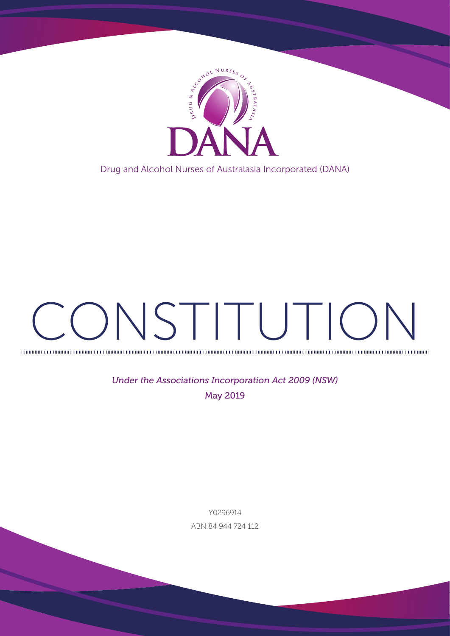

Drug and Alcohol Nurses of Australasia Incorporated (DANA)

# CONSTITUTION

*Under the Associations Incorporation Act 2009 (NSW)* May 2019

> Y0296914 ABN 84 944 724 112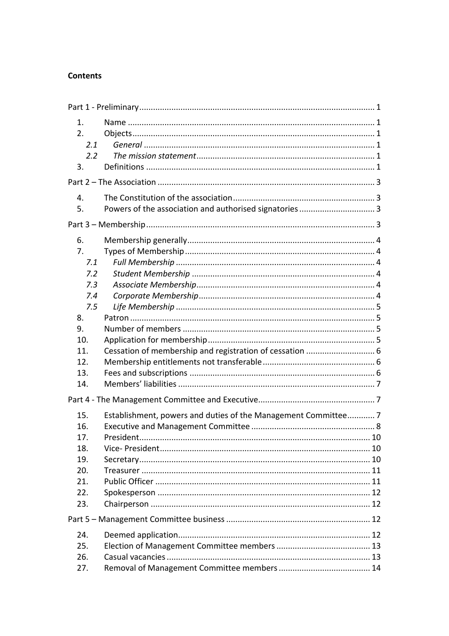#### **Contents**

| 1.<br>2.<br>2.1<br>2.2        |                                                                |  |  |
|-------------------------------|----------------------------------------------------------------|--|--|
| 3.                            |                                                                |  |  |
|                               |                                                                |  |  |
| 4.<br>5.                      | Powers of the association and authorised signatories 3         |  |  |
|                               |                                                                |  |  |
| 6.<br>7.<br>7.1<br>7.2        |                                                                |  |  |
| 7.3<br>7.4<br>7.5             |                                                                |  |  |
| 8.<br>9.<br>10.<br>11.<br>12. |                                                                |  |  |
| 13.                           |                                                                |  |  |
| 14.                           |                                                                |  |  |
|                               |                                                                |  |  |
| 15.<br>16.                    | Establishment, powers and duties of the Management Committee 7 |  |  |
| 17.                           |                                                                |  |  |
| 18.                           |                                                                |  |  |
| 19.<br>20.                    |                                                                |  |  |
| 21.                           |                                                                |  |  |
| 22.                           |                                                                |  |  |
| 23.                           |                                                                |  |  |
|                               |                                                                |  |  |
| 24.                           |                                                                |  |  |
| 25.                           |                                                                |  |  |
| 26.                           |                                                                |  |  |
| 27.                           |                                                                |  |  |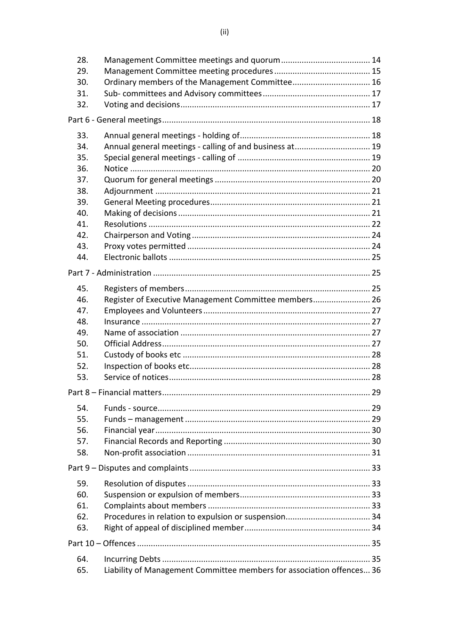| 28. |                                                                       |    |  |
|-----|-----------------------------------------------------------------------|----|--|
| 29. |                                                                       |    |  |
| 30. |                                                                       |    |  |
| 31. |                                                                       |    |  |
| 32. |                                                                       |    |  |
|     |                                                                       |    |  |
| 33. |                                                                       |    |  |
| 34. | Annual general meetings - calling of and business at 19               |    |  |
| 35. |                                                                       |    |  |
| 36. |                                                                       |    |  |
| 37. |                                                                       |    |  |
| 38. |                                                                       |    |  |
| 39. |                                                                       |    |  |
| 40. |                                                                       |    |  |
| 41. |                                                                       |    |  |
| 42. |                                                                       |    |  |
| 43. |                                                                       |    |  |
| 44. |                                                                       |    |  |
|     |                                                                       |    |  |
| 45. |                                                                       |    |  |
| 46. | Register of Executive Management Committee members 26                 |    |  |
| 47. |                                                                       |    |  |
| 48. |                                                                       |    |  |
| 49. |                                                                       |    |  |
| 50. |                                                                       |    |  |
| 51. |                                                                       |    |  |
| 52. |                                                                       |    |  |
| 53. |                                                                       |    |  |
|     | Part 8 - Financial matters                                            | 29 |  |
|     |                                                                       |    |  |
| 54. |                                                                       |    |  |
| 55. |                                                                       |    |  |
| 56. |                                                                       |    |  |
| 57. |                                                                       |    |  |
| 58. |                                                                       |    |  |
|     |                                                                       |    |  |
| 59. |                                                                       |    |  |
| 60. |                                                                       |    |  |
| 61. |                                                                       |    |  |
| 62. |                                                                       |    |  |
| 63. |                                                                       |    |  |
|     |                                                                       |    |  |
| 64. |                                                                       |    |  |
| 65. | Liability of Management Committee members for association offences 36 |    |  |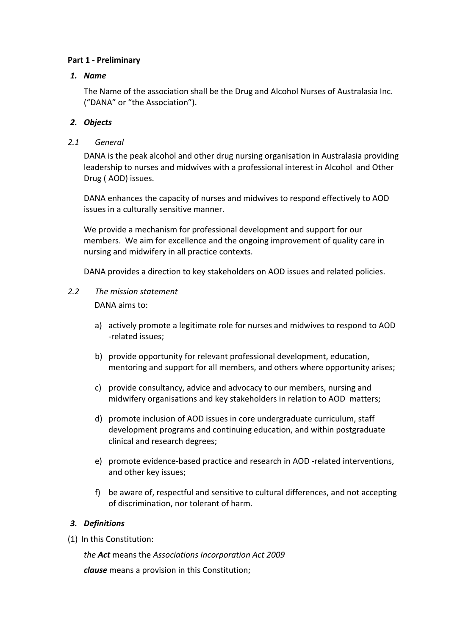#### **Part 1 - Preliminary**

#### *1. Name*

The Name of the association shall be the Drug and Alcohol Nurses of Australasia Inc. ("DANA" or "the Association").

## *2. Objects*

#### *2.1 General*

DANA is the peak alcohol and other drug nursing organisation in Australasia providing leadership to nurses and midwives with a professional interest in Alcohol and Other Drug (AOD) issues.

DANA enhances the capacity of nurses and midwives to respond effectively to AOD issues in a culturally sensitive manner.

We provide a mechanism for professional development and support for our members. We aim for excellence and the ongoing improvement of quality care in nursing and midwifery in all practice contexts.

DANA provides a direction to key stakeholders on AOD issues and related policies.

2.2 The mission statement

DANA aims to:

- a) actively promote a legitimate role for nurses and midwives to respond to AOD -related issues;
- b) provide opportunity for relevant professional development, education, mentoring and support for all members, and others where opportunity arises;
- c) provide consultancy, advice and advocacy to our members, nursing and midwifery organisations and key stakeholders in relation to AOD matters;
- d) promote inclusion of AOD issues in core undergraduate curriculum, staff development programs and continuing education, and within postgraduate clinical and research degrees;
- e) promote evidence-based practice and research in AOD -related interventions, and other key issues;
- f) be aware of, respectful and sensitive to cultural differences, and not accepting of discrimination, nor tolerant of harm.

## *3. Definitions*

(1) In this Constitution:

*the Act* means the *Associations Incorporation Act 2009*

*clause* means a provision in this Constitution;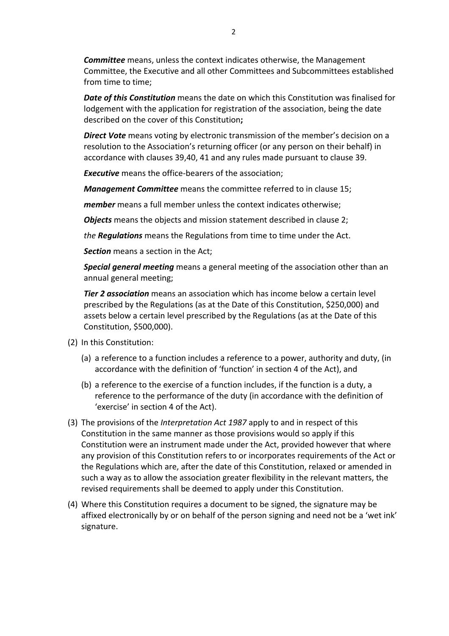**Committee** means, unless the context indicates otherwise, the Management Committee, the Executive and all other Committees and Subcommittees established from time to time:

**Date of this Constitution** means the date on which this Constitution was finalised for lodgement with the application for registration of the association, being the date described on the cover of this Constitution;

**Direct Vote** means voting by electronic transmission of the member's decision on a resolution to the Association's returning officer (or any person on their behalf) in accordance with clauses 39,40, 41 and any rules made pursuant to clause 39.

**Executive** means the office-bearers of the association;

**Management Committee** means the committee referred to in clause 15;

*member* means a full member unless the context indicates otherwise;

**Objects** means the objects and mission statement described in clause 2;

*the* **Requiations** means the Regulations from time to time under the Act.

**Section** means a section in the Act;

**Special general meeting** means a general meeting of the association other than an annual general meeting;

**Tier 2 association** means an association which has income below a certain level prescribed by the Regulations (as at the Date of this Constitution, \$250,000) and assets below a certain level prescribed by the Regulations (as at the Date of this Constitution, \$500,000).

- (2) In this Constitution:
	- (a) a reference to a function includes a reference to a power, authority and duty, (in accordance with the definition of 'function' in section 4 of the Act), and
	- (b) a reference to the exercise of a function includes, if the function is a duty, a reference to the performance of the duty (in accordance with the definition of 'exercise' in section 4 of the Act).
- (3) The provisions of the *Interpretation Act 1987* apply to and in respect of this Constitution in the same manner as those provisions would so apply if this Constitution were an instrument made under the Act, provided however that where any provision of this Constitution refers to or incorporates requirements of the Act or the Regulations which are, after the date of this Constitution, relaxed or amended in such a way as to allow the association greater flexibility in the relevant matters, the revised requirements shall be deemed to apply under this Constitution.
- (4) Where this Constitution requires a document to be signed, the signature may be affixed electronically by or on behalf of the person signing and need not be a 'wet ink' signature.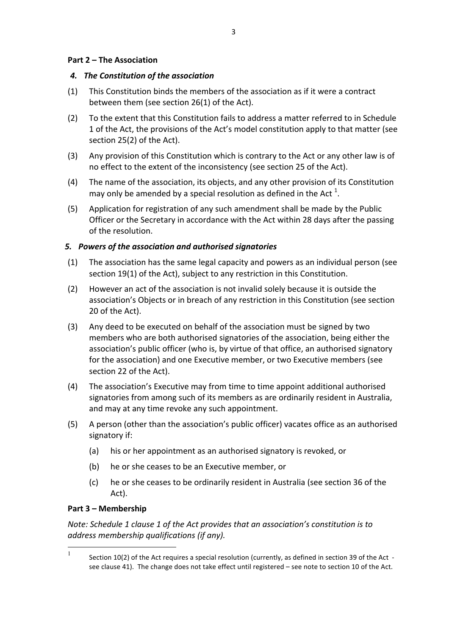#### **Part 2 – The Association**

#### *4. The Constitution of the association*

- (1) This Constitution binds the members of the association as if it were a contract between them (see section 26(1) of the Act).
- (2) To the extent that this Constitution fails to address a matter referred to in Schedule 1 of the Act, the provisions of the Act's model constitution apply to that matter (see section  $25(2)$  of the Act).
- (3) Any provision of this Constitution which is contrary to the Act or any other law is of no effect to the extent of the inconsistency (see section 25 of the Act).
- (4) The name of the association, its objects, and any other provision of its Constitution may only be amended by a special resolution as defined in the Act  $^1$ .
- (5) Application for registration of any such amendment shall be made by the Public Officer or the Secretary in accordance with the Act within 28 days after the passing of the resolution.

## *5. Powers of the association and authorised signatories*

- (1) The association has the same legal capacity and powers as an individual person (see section 19(1) of the Act), subject to any restriction in this Constitution.
- (2) However an act of the association is not invalid solely because it is outside the association's Objects or in breach of any restriction in this Constitution (see section 20 of the Act).
- (3) Any deed to be executed on behalf of the association must be signed by two members who are both authorised signatories of the association, being either the association's public officer (who is, by virtue of that office, an authorised signatory for the association) and one Executive member, or two Executive members (see section 22 of the Act).
- (4) The association's Executive may from time to time appoint additional authorised signatories from among such of its members as are ordinarily resident in Australia, and may at any time revoke any such appointment.
- (5) A person (other than the association's public officer) vacates office as an authorised signatory if:
	- (a) his or her appointment as an authorised signatory is revoked, or
	- (b) he or she ceases to be an Executive member, or
	- (c) he or she ceases to be ordinarily resident in Australia (see section 36 of the Act).

## **Part 3 – Membership**

*Note:* Schedule 1 clause 1 of the Act provides that an association's constitution is to *address membership qualifications (if any).* 

<sup>&</sup>lt;sup>1</sup> Section 10(2) of the Act requires a special resolution (currently, as defined in section 39 of the Act see clause 41). The change does not take effect until registered - see note to section 10 of the Act.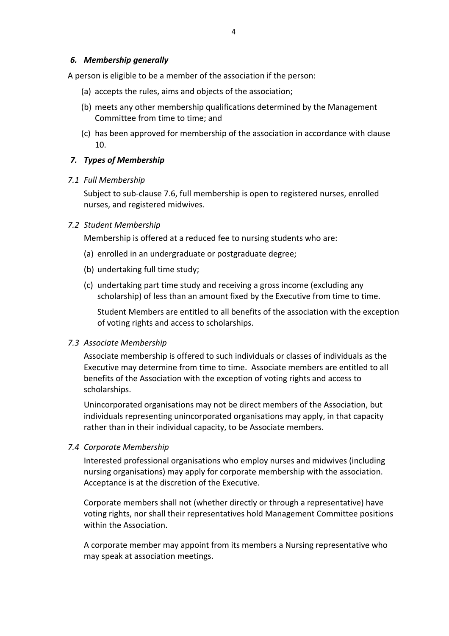#### *6. Membership generally*

A person is eligible to be a member of the association if the person:

- (a) accepts the rules, aims and objects of the association;
- (b) meets any other membership qualifications determined by the Management Committee from time to time; and
- (c) has been approved for membership of the association in accordance with clause 10.

#### *7. Types of Membership*

#### *7.1 Full Membership*

Subject to sub-clause 7.6, full membership is open to registered nurses, enrolled nurses, and registered midwives.

#### *7.2 Student Membership*

Membership is offered at a reduced fee to nursing students who are:

- (a) enrolled in an undergraduate or postgraduate degree;
- (b) undertaking full time study;
- (c) undertaking part time study and receiving a gross income (excluding any scholarship) of less than an amount fixed by the Executive from time to time.

Student Members are entitled to all benefits of the association with the exception of voting rights and access to scholarships.

#### *7.3 Associate Membership*

Associate membership is offered to such individuals or classes of individuals as the Executive may determine from time to time. Associate members are entitled to all benefits of the Association with the exception of voting rights and access to scholarships.

Unincorporated organisations may not be direct members of the Association, but individuals representing unincorporated organisations may apply, in that capacity rather than in their individual capacity, to be Associate members.

#### *7.4 Corporate Membership*

Interested professional organisations who employ nurses and midwives (including nursing organisations) may apply for corporate membership with the association. Acceptance is at the discretion of the Executive.

Corporate members shall not (whether directly or through a representative) have voting rights, nor shall their representatives hold Management Committee positions within the Association.

A corporate member may appoint from its members a Nursing representative who may speak at association meetings.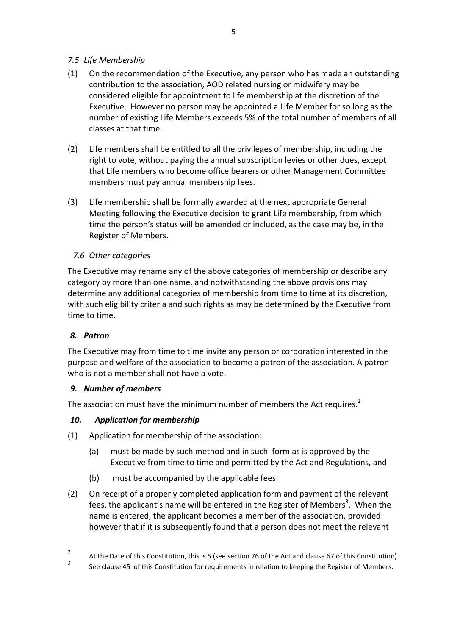## *7.5 Life Membership*

- (1) On the recommendation of the Executive, any person who has made an outstanding contribution to the association, AOD related nursing or midwifery may be considered eligible for appointment to life membership at the discretion of the Executive. However no person may be appointed a Life Member for so long as the number of existing Life Members exceeds 5% of the total number of members of all classes at that time.
- (2) Life members shall be entitled to all the privileges of membership, including the right to vote, without paying the annual subscription levies or other dues, except that Life members who become office bearers or other Management Committee members must pay annual membership fees.
- (3) Life membership shall be formally awarded at the next appropriate General Meeting following the Executive decision to grant Life membership, from which time the person's status will be amended or included, as the case may be, in the Register of Members.

## *7.6 Other categories*

The Executive may rename any of the above categories of membership or describe any category by more than one name, and notwithstanding the above provisions may determine any additional categories of membership from time to time at its discretion, with such eligibility criteria and such rights as may be determined by the Executive from time to time.

## *8. Patron*

The Executive may from time to time invite any person or corporation interested in the purpose and welfare of the association to become a patron of the association. A patron who is not a member shall not have a vote.

#### *9. Number of members*

The association must have the minimum number of members the Act requires.<sup>2</sup>

#### 10. **Application for membership**

- $(1)$  Application for membership of the association:
	- (a) must be made by such method and in such form as is approved by the Executive from time to time and permitted by the Act and Regulations, and
	- (b) must be accompanied by the applicable fees.
- (2) On receipt of a properly completed application form and payment of the relevant fees, the applicant's name will be entered in the Register of Members<sup>3</sup>. When the name is entered, the applicant becomes a member of the association, provided however that if it is subsequently found that a person does not meet the relevant

<sup>2</sup> At the Date of this Constitution, this is 5 (see section 76 of the Act and clause 67 of this Constitution).

See clause 45 of this Constitution for requirements in relation to keeping the Register of Members.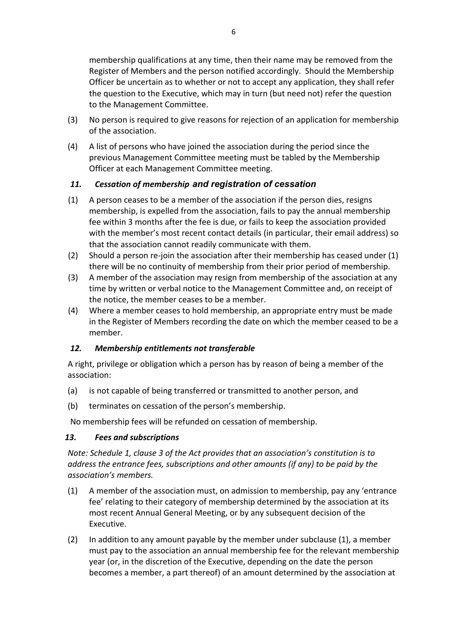membership qualifications at any time, then their name may be removed from the Register of Members and the person notified accordingly. Should the Membership Officer be uncertain as to whether or not to accept any application, they shall refer the question to the Executive, which may in turn (but need not) refer the question to the Management Committee.

- (3) No person is required to give reasons for rejection of an application for membership of the association.
- (4) A list of persons who have joined the association during the period since the previous Management Committee meeting must be tabled by the Membership Officer at each Management Committee meeting.

## *11. Cessation of membership and registration of cessation*

- $(1)$  A person ceases to be a member of the association if the person dies, resigns membership, is expelled from the association, fails to pay the annual membership fee within 3 months after the fee is due, or fails to keep the association provided with the member's most recent contact details (in particular, their email address) so that the association cannot readily communicate with them.
- (2) Should a person re-join the association after their membership has ceased under  $(1)$ there will be no continuity of membership from their prior period of membership.
- (3) A member of the association may resign from membership of the association at any time by written or verbal notice to the Management Committee and, on receipt of the notice, the member ceases to be a member.
- (4) Where a member ceases to hold membership, an appropriate entry must be made in the Register of Members recording the date on which the member ceased to be a member.

# 12. Membership entitlements not transferable

A right, privilege or obligation which a person has by reason of being a member of the association: 

- (a) is not capable of being transferred or transmitted to another person, and
- (b) terminates on cessation of the person's membership.

No membership fees will be refunded on cessation of membership.

## *13. Fees and subscriptions*

*Note: Schedule 1, clause 3 of the Act provides that an association's constitution is to address* the entrance fees, subscriptions and other amounts (if any) to be paid by the *association's members.*

- $(1)$  A member of the association must, on admission to membership, pay any 'entrance fee' relating to their category of membership determined by the association at its most recent Annual General Meeting, or by any subsequent decision of the Executive.
- (2) In addition to any amount payable by the member under subclause  $(1)$ , a member must pay to the association an annual membership fee for the relevant membership year (or, in the discretion of the Executive, depending on the date the person becomes a member, a part thereof) of an amount determined by the association at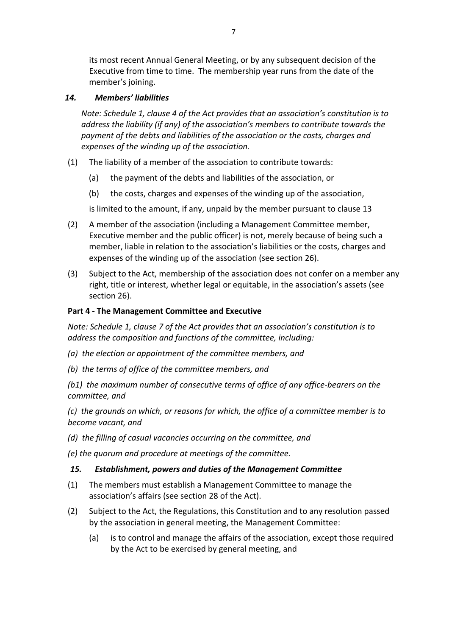its most recent Annual General Meeting, or by any subsequent decision of the Executive from time to time. The membership year runs from the date of the member's joining.

#### *14. Members' liabilities*

*Note: Schedule 1, clause 4 of the Act provides that an association's constitution is to address* the liability (if any) of the association's members to contribute towards the payment of the debts and liabilities of the association or the costs, charges and expenses of the winding up of the association.

- (1) The liability of a member of the association to contribute towards:
	- (a) the payment of the debts and liabilities of the association, or
	- (b) the costs, charges and expenses of the winding up of the association,

is limited to the amount, if any, unpaid by the member pursuant to clause 13

- (2) A member of the association (including a Management Committee member, Executive member and the public officer) is not, merely because of being such a member, liable in relation to the association's liabilities or the costs, charges and expenses of the winding up of the association (see section 26).
- (3) Subject to the Act, membership of the association does not confer on a member any right, title or interest, whether legal or equitable, in the association's assets (see section 26).

#### **Part 4 - The Management Committee and Executive**

*Note: Schedule 1, clause 7 of the Act provides that an association's constitution is to address the composition and functions of the committee, including:* 

- *(a) the election or appointment of the committee members, and*
- *(b) the terms of office of the committee members, and*

(b1) the maximum number of consecutive terms of office of any office-bearers on the *committee, and*

*(c)* the arounds on which, or reasons for which, the office of a committee member is to *become vacant, and*

(d) the filling of casual vacancies occurring on the committee, and

*(e)* the quorum and procedure at meetings of the committee.

#### *15. Establishment, powers and duties of the Management Committee*

- (1) The members must establish a Management Committee to manage the association's affairs (see section 28 of the Act).
- (2) Subject to the Act, the Regulations, this Constitution and to any resolution passed by the association in general meeting, the Management Committee:
	- (a) is to control and manage the affairs of the association, except those required by the Act to be exercised by general meeting, and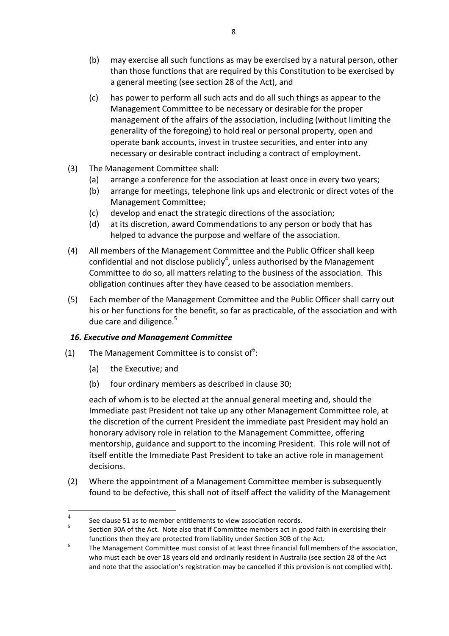- (b) may exercise all such functions as may be exercised by a natural person, other than those functions that are required by this Constitution to be exercised by a general meeting (see section 28 of the Act), and
- (c) has power to perform all such acts and do all such things as appear to the Management Committee to be necessary or desirable for the proper management of the affairs of the association, including (without limiting the generality of the foregoing) to hold real or personal property, open and operate bank accounts, invest in trustee securities, and enter into any necessary or desirable contract including a contract of employment.
- (3) The Management Committee shall:
	- (a) arrange a conference for the association at least once in every two years;
	- (b) arrange for meetings, telephone link ups and electronic or direct votes of the Management Committee;
	- (c) develop and enact the strategic directions of the association;
	- (d) at its discretion, award Commendations to any person or body that has helped to advance the purpose and welfare of the association.
- (4) All members of the Management Committee and the Public Officer shall keep confidential and not disclose publicly<sup>4</sup>, unless authorised by the Management Committee to do so, all matters relating to the business of the association. This obligation continues after they have ceased to be association members.
- (5) Each member of the Management Committee and the Public Officer shall carry out his or her functions for the benefit, so far as practicable, of the association and with due care and diligence. $5$

## *16. Executive and Management Committee*

- (1) The Management Committee is to consist of  $6$ :
	- (a) the Executive; and
	- (b) four ordinary members as described in clause 30;

each of whom is to be elected at the annual general meeting and, should the Immediate past President not take up any other Management Committee role, at the discretion of the current President the immediate past President may hold an honorary advisory role in relation to the Management Committee, offering mentorship, guidance and support to the incoming President. This role will not of itself entitle the Immediate Past President to take an active role in management decisions.

(2) Where the appointment of a Management Committee member is subsequently found to be defective, this shall not of itself affect the validity of the Management

<sup>4</sup> See clause 51 as to member entitlements to view association records.<br>
5 Section 30A of the Act. Note also that if Committee members act in good faith in exercising their functions then they are protected from liability under Section 30B of the Act.

 $6 \overline{a}$  The Management Committee must consist of at least three financial full members of the association, who must each be over 18 years old and ordinarily resident in Australia (see section 28 of the Act and note that the association's registration may be cancelled if this provision is not complied with).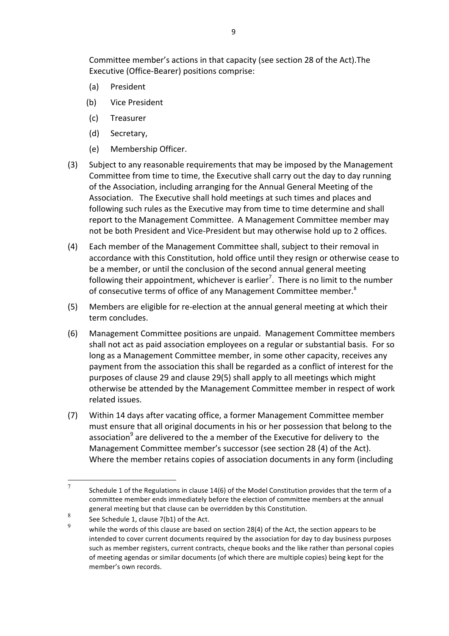Committee member's actions in that capacity (see section 28 of the Act). The Executive (Office-Bearer) positions comprise:

- (a) President
- (b) Vice President
- (c) Treasurer
- (d) Secretary,
- (e) Membership Officer.
- (3) Subject to any reasonable requirements that may be imposed by the Management Committee from time to time, the Executive shall carry out the day to day running of the Association, including arranging for the Annual General Meeting of the Association. The Executive shall hold meetings at such times and places and following such rules as the Executive may from time to time determine and shall report to the Management Committee. A Management Committee member may not be both President and Vice-President but may otherwise hold up to 2 offices.
- (4) Each member of the Management Committee shall, subject to their removal in accordance with this Constitution, hold office until they resign or otherwise cease to be a member, or until the conclusion of the second annual general meeting following their appointment, whichever is earlier<sup>7</sup>. There is no limit to the number of consecutive terms of office of any Management Committee member.<sup>8</sup>
- (5) Members are eligible for re-election at the annual general meeting at which their term concludes.
- (6) Management Committee positions are unpaid. Management Committee members shall not act as paid association employees on a regular or substantial basis. For so long as a Management Committee member, in some other capacity, receives any payment from the association this shall be regarded as a conflict of interest for the purposes of clause 29 and clause 29(5) shall apply to all meetings which might otherwise be attended by the Management Committee member in respect of work related issues.
- (7) Within 14 days after vacating office, a former Management Committee member must ensure that all original documents in his or her possession that belong to the association<sup>9</sup> are delivered to the a member of the Executive for delivery to the Management Committee member's successor (see section 28 (4) of the Act). Where the member retains copies of association documents in any form (including

<sup>7</sup> Schedule 1 of the Regulations in clause 14(6) of the Model Constitution provides that the term of a committee member ends immediately before the election of committee members at the annual general meeting but that clause can be overridden by this Constitution.

 $\frac{8}{9}$  See Schedule 1, clause 7(b1) of the Act.

while the words of this clause are based on section 28(4) of the Act, the section appears to be intended to cover current documents required by the association for day to day business purposes such as member registers, current contracts, cheque books and the like rather than personal copies of meeting agendas or similar documents (of which there are multiple copies) being kept for the member's own records.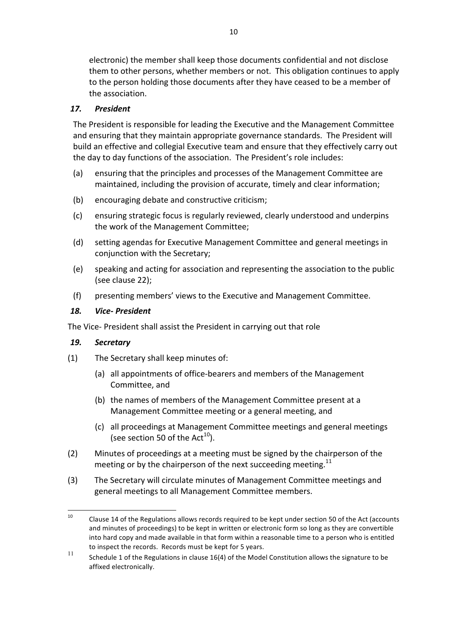electronic) the member shall keep those documents confidential and not disclose them to other persons, whether members or not. This obligation continues to apply to the person holding those documents after they have ceased to be a member of the association.

# *17. President*

The President is responsible for leading the Executive and the Management Committee and ensuring that they maintain appropriate governance standards. The President will build an effective and collegial Executive team and ensure that they effectively carry out the day to day functions of the association. The President's role includes:

- (a) ensuring that the principles and processes of the Management Committee are maintained, including the provision of accurate, timely and clear information;
- (b) encouraging debate and constructive criticism;
- (c) ensuring strategic focus is regularly reviewed, clearly understood and underpins the work of the Management Committee;
- (d) setting agendas for Executive Management Committee and general meetings in conjunction with the Secretary;
- (e) speaking and acting for association and representing the association to the public (see clause 22);
- (f) presenting members' views to the Executive and Management Committee.

## *18. Vice- President*

The Vice- President shall assist the President in carrying out that role

## *19. Secretary*

- $(1)$  The Secretary shall keep minutes of:
	- (a) all appointments of office-bearers and members of the Management Committee, and
	- (b) the names of members of the Management Committee present at a Management Committee meeting or a general meeting, and
	- (c) all proceedings at Management Committee meetings and general meetings (see section 50 of the Act<sup>10</sup>).
- (2) Minutes of proceedings at a meeting must be signed by the chairperson of the meeting or by the chairperson of the next succeeding meeting.<sup>11</sup>
- (3) The Secretary will circulate minutes of Management Committee meetings and general meetings to all Management Committee members.

<sup>&</sup>lt;sup>10</sup> Clause 14 of the Regulations allows records required to be kept under section 50 of the Act (accounts and minutes of proceedings) to be kept in written or electronic form so long as they are convertible into hard copy and made available in that form within a reasonable time to a person who is entitled to inspect the records. Records must be kept for 5 years.

<sup>11</sup> Schedule 1 of the Regulations in clause 16(4) of the Model Constitution allows the signature to be affixed electronically.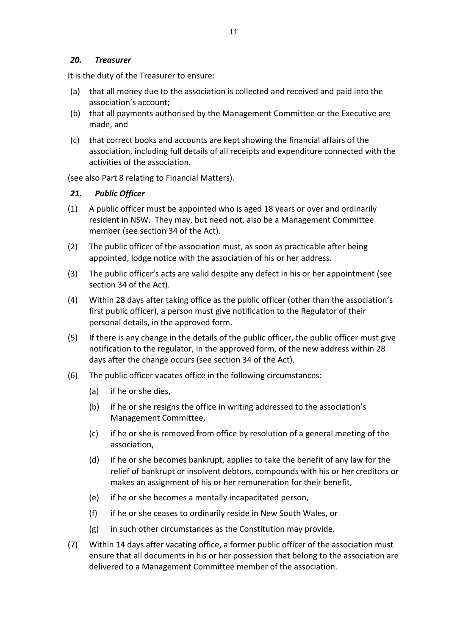## *20. Treasurer*

It is the duty of the Treasurer to ensure:

- (a) that all money due to the association is collected and received and paid into the association's account;
- (b) that all payments authorised by the Management Committee or the Executive are made, and
- (c) that correct books and accounts are kept showing the financial affairs of the association, including full details of all receipts and expenditure connected with the activities of the association.

(see also Part 8 relating to Financial Matters).

## *21. Public Officer*

- $(1)$  A public officer must be appointed who is aged 18 years or over and ordinarily resident in NSW. They may, but need not, also be a Management Committee member (see section 34 of the Act).
- (2) The public officer of the association must, as soon as practicable after being appointed, lodge notice with the association of his or her address.
- (3) The public officer's acts are valid despite any defect in his or her appointment (see section 34 of the Act).
- (4) Within 28 days after taking office as the public officer (other than the association's first public officer), a person must give notification to the Regulator of their personal details, in the approved form.
- (5) If there is any change in the details of the public officer, the public officer must give notification to the regulator, in the approved form, of the new address within 28 days after the change occurs (see section 34 of the Act).
- (6) The public officer vacates office in the following circumstances:
	- (a) if he or she dies,
	- (b) if he or she resigns the office in writing addressed to the association's Management Committee,
	- (c) if he or she is removed from office by resolution of a general meeting of the association,
	- (d) if he or she becomes bankrupt, applies to take the benefit of any law for the relief of bankrupt or insolvent debtors, compounds with his or her creditors or makes an assignment of his or her remuneration for their benefit,
	- (e) if he or she becomes a mentally incapacitated person,
	- (f) if he or she ceases to ordinarily reside in New South Wales, or
	- $(g)$  in such other circumstances as the Constitution may provide.
- (7) Within 14 days after vacating office, a former public officer of the association must ensure that all documents in his or her possession that belong to the association are delivered to a Management Committee member of the association.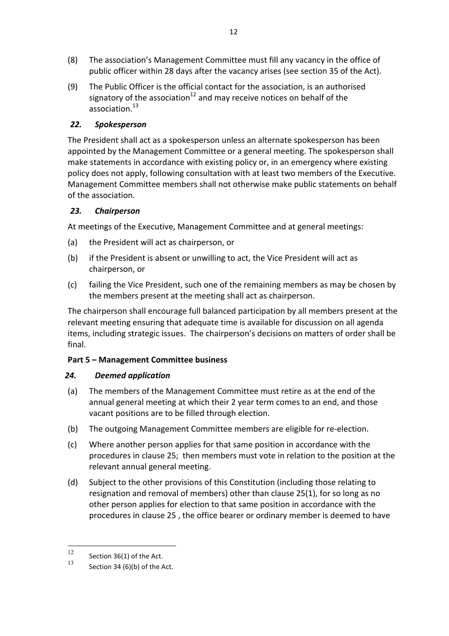- (8) The association's Management Committee must fill any vacancy in the office of public officer within 28 days after the vacancy arises (see section 35 of the Act).
- (9) The Public Officer is the official contact for the association, is an authorised signatory of the association<sup>12</sup> and may receive notices on behalf of the association.<sup>13</sup>

# *22. Spokesperson*

The President shall act as a spokesperson unless an alternate spokesperson has been appointed by the Management Committee or a general meeting. The spokesperson shall make statements in accordance with existing policy or, in an emergency where existing policy does not apply, following consultation with at least two members of the Executive. Management Committee members shall not otherwise make public statements on behalf of the association.

## *23. Chairperson*

At meetings of the Executive, Management Committee and at general meetings:

- (a) the President will act as chairperson, or
- (b) if the President is absent or unwilling to act, the Vice President will act as chairperson, or
- (c) failing the Vice President, such one of the remaining members as may be chosen by the members present at the meeting shall act as chairperson.

The chairperson shall encourage full balanced participation by all members present at the relevant meeting ensuring that adequate time is available for discussion on all agenda items, including strategic issues. The chairperson's decisions on matters of order shall be final.

## **Part 5 – Management Committee business**

# *24. Deemed application*

- (a) The members of the Management Committee must retire as at the end of the annual general meeting at which their 2 year term comes to an end, and those vacant positions are to be filled through election.
- (b) The outgoing Management Committee members are eligible for re-election.
- (c) Where another person applies for that same position in accordance with the procedures in clause 25; then members must vote in relation to the position at the relevant annual general meeting.
- (d) Subject to the other provisions of this Constitution (including those relating to resignation and removal of members) other than clause  $25(1)$ , for so long as no other person applies for election to that same position in accordance with the procedures in clause 25, the office bearer or ordinary member is deemed to have

 $\frac{12}{13}$  Section 36(1) of the Act.

Section  $34(6)(b)$  of the Act.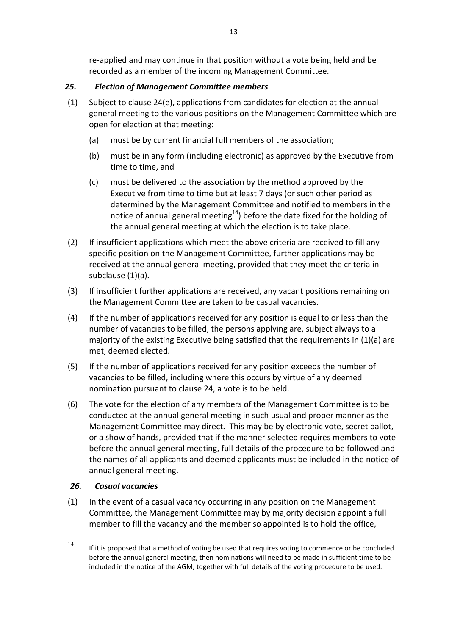re-applied and may continue in that position without a vote being held and be recorded as a member of the incoming Management Committee.

# *25. Election of Management Committee members*

- $(1)$  Subject to clause 24(e), applications from candidates for election at the annual general meeting to the various positions on the Management Committee which are open for election at that meeting:
	- (a) must be by current financial full members of the association;
	- (b) must be in any form (including electronic) as approved by the Executive from time to time, and
	- (c) must be delivered to the association by the method approved by the Executive from time to time but at least 7 days (or such other period as determined by the Management Committee and notified to members in the notice of annual general meeting $^{14}$ ) before the date fixed for the holding of the annual general meeting at which the election is to take place.
- (2) If insufficient applications which meet the above criteria are received to fill any specific position on the Management Committee, further applications may be received at the annual general meeting, provided that they meet the criteria in subclause  $(1)(a)$ .
- (3) If insufficient further applications are received, any vacant positions remaining on the Management Committee are taken to be casual vacancies.
- (4) If the number of applications received for any position is equal to or less than the number of vacancies to be filled, the persons applying are, subject always to a majority of the existing Executive being satisfied that the requirements in  $(1)(a)$  are met, deemed elected.
- (5) If the number of applications received for any position exceeds the number of vacancies to be filled, including where this occurs by virtue of any deemed nomination pursuant to clause 24, a vote is to be held.
- (6) The vote for the election of any members of the Management Committee is to be conducted at the annual general meeting in such usual and proper manner as the Management Committee may direct. This may be by electronic vote, secret ballot, or a show of hands, provided that if the manner selected requires members to vote before the annual general meeting, full details of the procedure to be followed and the names of all applicants and deemed applicants must be included in the notice of annual general meeting.

# *26. Casual vacancies*

 $(1)$  In the event of a casual vacancy occurring in any position on the Management Committee, the Management Committee may by majority decision appoint a full member to fill the vacancy and the member so appointed is to hold the office,

 $14$  If it is proposed that a method of voting be used that requires voting to commence or be concluded before the annual general meeting, then nominations will need to be made in sufficient time to be included in the notice of the AGM, together with full details of the voting procedure to be used.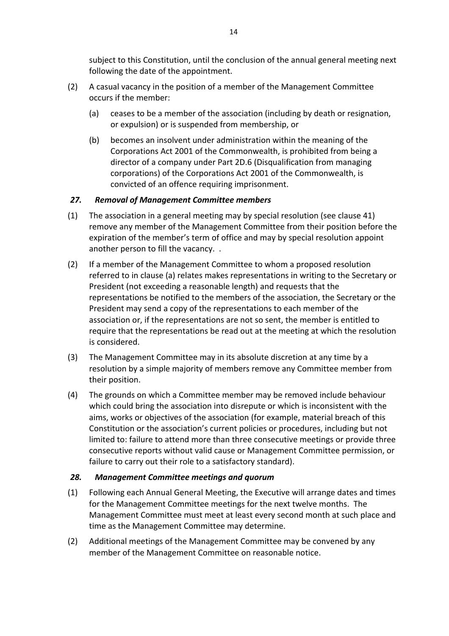subject to this Constitution, until the conclusion of the annual general meeting next following the date of the appointment.

- (2) A casual vacancy in the position of a member of the Management Committee occurs if the member:
	- (a) ceases to be a member of the association (including by death or resignation, or expulsion) or is suspended from membership, or
	- (b) becomes an insolvent under administration within the meaning of the Corporations Act 2001 of the Commonwealth, is prohibited from being a director of a company under Part 2D.6 (Disqualification from managing corporations) of the Corporations Act 2001 of the Commonwealth, is convicted of an offence requiring imprisonment.

## *27. Removal of Management Committee members*

- (1) The association in a general meeting may by special resolution (see clause 41) remove any member of the Management Committee from their position before the expiration of the member's term of office and may by special resolution appoint another person to fill the vacancy. .
- (2) If a member of the Management Committee to whom a proposed resolution referred to in clause (a) relates makes representations in writing to the Secretary or President (not exceeding a reasonable length) and requests that the representations be notified to the members of the association, the Secretary or the President may send a copy of the representations to each member of the association or, if the representations are not so sent, the member is entitled to require that the representations be read out at the meeting at which the resolution is considered.
- (3) The Management Committee may in its absolute discretion at any time by a resolution by a simple majority of members remove any Committee member from their position.
- (4) The grounds on which a Committee member may be removed include behaviour which could bring the association into disrepute or which is inconsistent with the aims, works or objectives of the association (for example, material breach of this Constitution or the association's current policies or procedures, including but not limited to: failure to attend more than three consecutive meetings or provide three consecutive reports without valid cause or Management Committee permission, or failure to carry out their role to a satisfactory standard).

## *28. Management Committee meetings and quorum*

- (1) Following each Annual General Meeting, the Executive will arrange dates and times for the Management Committee meetings for the next twelve months. The Management Committee must meet at least every second month at such place and time as the Management Committee may determine.
- (2) Additional meetings of the Management Committee may be convened by any member of the Management Committee on reasonable notice.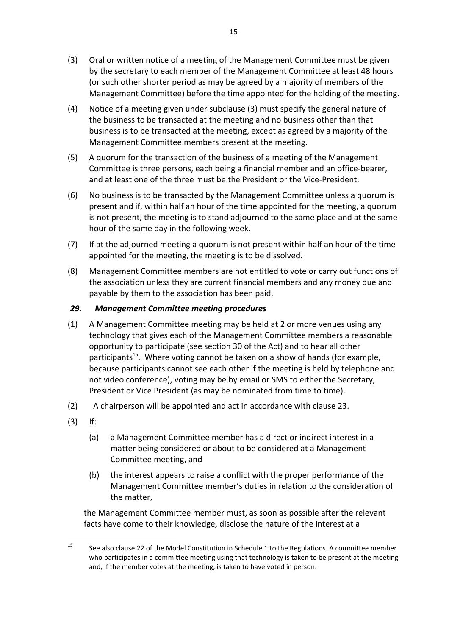- (3) Oral or written notice of a meeting of the Management Committee must be given by the secretary to each member of the Management Committee at least 48 hours (or such other shorter period as may be agreed by a majority of members of the Management Committee) before the time appointed for the holding of the meeting.
- (4) Notice of a meeting given under subclause  $(3)$  must specify the general nature of the business to be transacted at the meeting and no business other than that business is to be transacted at the meeting, except as agreed by a majority of the Management Committee members present at the meeting.
- (5) A quorum for the transaction of the business of a meeting of the Management Committee is three persons, each being a financial member and an office-bearer, and at least one of the three must be the President or the Vice-President.
- (6) No business is to be transacted by the Management Committee unless a quorum is present and if, within half an hour of the time appointed for the meeting, a quorum is not present, the meeting is to stand adjourned to the same place and at the same hour of the same day in the following week.
- (7) If at the adjourned meeting a quorum is not present within half an hour of the time appointed for the meeting, the meeting is to be dissolved.
- (8) Management Committee members are not entitled to vote or carry out functions of the association unless they are current financial members and any money due and payable by them to the association has been paid.

## *29. Management Committee meeting procedures*

- (1) A Management Committee meeting may be held at 2 or more venues using any technology that gives each of the Management Committee members a reasonable opportunity to participate (see section 30 of the Act) and to hear all other participants<sup>15</sup>. Where voting cannot be taken on a show of hands (for example, because participants cannot see each other if the meeting is held by telephone and not video conference), voting may be by email or SMS to either the Secretary, President or Vice President (as may be nominated from time to time).
- (2) A chairperson will be appointed and act in accordance with clause 23.
- (3) If:
	- (a) a Management Committee member has a direct or indirect interest in a matter being considered or about to be considered at a Management Committee meeting, and
	- (b) the interest appears to raise a conflict with the proper performance of the Management Committee member's duties in relation to the consideration of the matter,

the Management Committee member must, as soon as possible after the relevant facts have come to their knowledge, disclose the nature of the interest at a

<sup>&</sup>lt;sup>15</sup> See also clause 22 of the Model Constitution in Schedule 1 to the Regulations. A committee member who participates in a committee meeting using that technology is taken to be present at the meeting and, if the member votes at the meeting, is taken to have voted in person.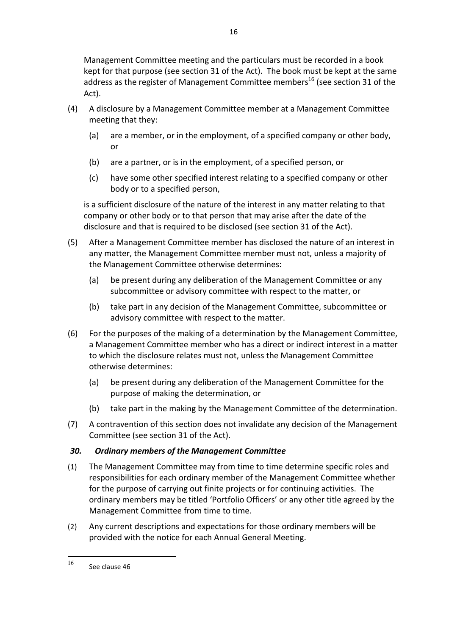16

- (4) A disclosure by a Management Committee member at a Management Committee meeting that they:
	- (a) are a member, or in the employment, of a specified company or other body, or
	- $(b)$  are a partner, or is in the employment, of a specified person, or
	- (c) have some other specified interest relating to a specified company or other body or to a specified person,

is a sufficient disclosure of the nature of the interest in any matter relating to that company or other body or to that person that may arise after the date of the disclosure and that is required to be disclosed (see section 31 of the Act).

- (5) After a Management Committee member has disclosed the nature of an interest in any matter, the Management Committee member must not, unless a majority of the Management Committee otherwise determines:
	- (a) be present during any deliberation of the Management Committee or any subcommittee or advisory committee with respect to the matter, or
	- (b) take part in any decision of the Management Committee, subcommittee or advisory committee with respect to the matter.
- (6) For the purposes of the making of a determination by the Management Committee, a Management Committee member who has a direct or indirect interest in a matter to which the disclosure relates must not, unless the Management Committee otherwise determines:
	- (a) be present during any deliberation of the Management Committee for the purpose of making the determination, or
	- (b) take part in the making by the Management Committee of the determination.
- (7) A contravention of this section does not invalidate any decision of the Management Committee (see section 31 of the Act).

# *30. Ordinary members of the Management Committee*

- (1) The Management Committee may from time to time determine specific roles and responsibilities for each ordinary member of the Management Committee whether for the purpose of carrying out finite projects or for continuing activities. The ordinary members may be titled 'Portfolio Officers' or any other title agreed by the Management Committee from time to time.
- (2) Any current descriptions and expectations for those ordinary members will be provided with the notice for each Annual General Meeting.

 $16$  See clause 46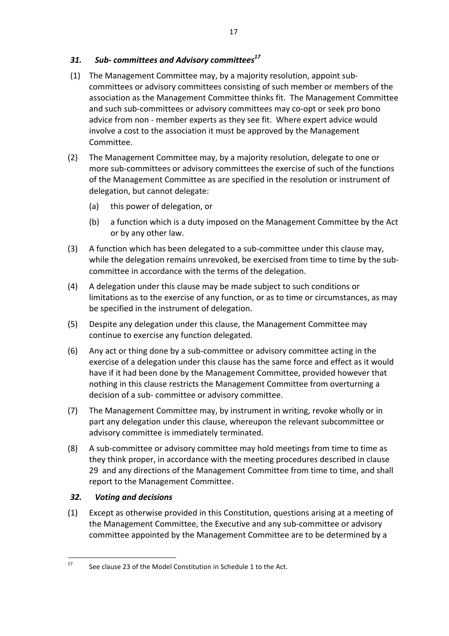## *31. Sub- committees and Advisory committees17*

- (1) The Management Committee may, by a majority resolution, appoint subcommittees or advisory committees consisting of such member or members of the association as the Management Committee thinks fit. The Management Committee and such sub-committees or advisory committees may co-opt or seek pro bono advice from non - member experts as they see fit. Where expert advice would involve a cost to the association it must be approved by the Management Committee.
- (2) The Management Committee may, by a majority resolution, delegate to one or more sub-committees or advisory committees the exercise of such of the functions of the Management Committee as are specified in the resolution or instrument of delegation, but cannot delegate:
	- (a) this power of delegation, or
	- (b) a function which is a duty imposed on the Management Committee by the Act or by any other law.
- (3) A function which has been delegated to a sub-committee under this clause may, while the delegation remains unrevoked, be exercised from time to time by the subcommittee in accordance with the terms of the delegation.
- (4) A delegation under this clause may be made subject to such conditions or limitations as to the exercise of any function, or as to time or circumstances, as may be specified in the instrument of delegation.
- (5) Despite any delegation under this clause, the Management Committee may continue to exercise any function delegated.
- (6) Any act or thing done by a sub-committee or advisory committee acting in the exercise of a delegation under this clause has the same force and effect as it would have if it had been done by the Management Committee, provided however that nothing in this clause restricts the Management Committee from overturning a decision of a sub- committee or advisory committee.
- (7) The Management Committee may, by instrument in writing, revoke wholly or in part any delegation under this clause, whereupon the relevant subcommittee or advisory committee is immediately terminated.
- (8) A sub-committee or advisory committee may hold meetings from time to time as they think proper, in accordance with the meeting procedures described in clause 29 and any directions of the Management Committee from time to time, and shall report to the Management Committee.

## *32. Voting and decisions*

(1) Except as otherwise provided in this Constitution, questions arising at a meeting of the Management Committee, the Executive and any sub-committee or advisory committee appointed by the Management Committee are to be determined by a

 $17$  See clause 23 of the Model Constitution in Schedule 1 to the Act.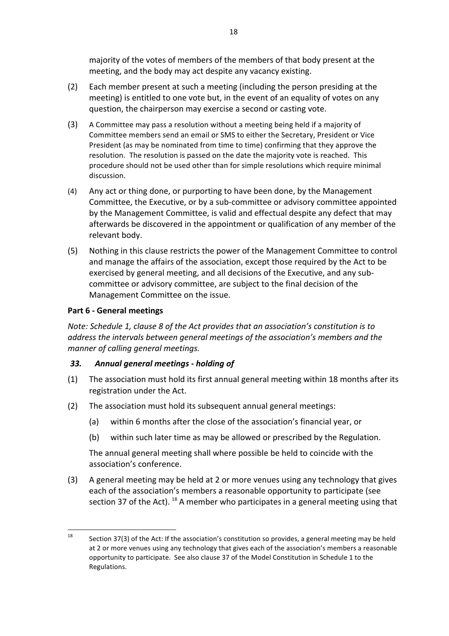majority of the votes of members of the members of that body present at the meeting, and the body may act despite any vacancy existing.

- (2) Each member present at such a meeting (including the person presiding at the meeting) is entitled to one vote but, in the event of an equality of votes on any question, the chairperson may exercise a second or casting vote.
- (3) A Committee may pass a resolution without a meeting being held if a majority of Committee members send an email or SMS to either the Secretary, President or Vice President (as may be nominated from time to time) confirming that they approve the resolution. The resolution is passed on the date the majority vote is reached. This procedure should not be used other than for simple resolutions which require minimal discussion.
- (4) Any act or thing done, or purporting to have been done, by the Management Committee, the Executive, or by a sub-committee or advisory committee appointed by the Management Committee, is valid and effectual despite any defect that may afterwards be discovered in the appointment or qualification of any member of the relevant body.
- (5) Nothing in this clause restricts the power of the Management Committee to control and manage the affairs of the association, except those required by the Act to be exercised by general meeting, and all decisions of the Executive, and any subcommittee or advisory committee, are subject to the final decision of the Management Committee on the issue.

## **Part 6 - General meetings**

*Note: Schedule 1, clause 8 of the Act provides that an association's constitution is to address* the intervals between general meetings of the association's members and the *manner of calling general meetings.* 

## *33. Annual general meetings - holding of*

- (1) The association must hold its first annual general meeting within 18 months after its registration under the Act.
- (2) The association must hold its subsequent annual general meetings:
	- (a) within 6 months after the close of the association's financial year, or
	- (b) within such later time as may be allowed or prescribed by the Regulation.

The annual general meeting shall where possible be held to coincide with the association's conference.

(3) A general meeting may be held at 2 or more venues using any technology that gives each of the association's members a reasonable opportunity to participate (see section 37 of the Act).  $^{18}$  A member who participates in a general meeting using that

<sup>&</sup>lt;sup>18</sup> Section 37(3) of the Act: If the association's constitution so provides, a general meeting may be held at 2 or more venues using any technology that gives each of the association's members a reasonable opportunity to participate. See also clause 37 of the Model Constitution in Schedule 1 to the Regulations.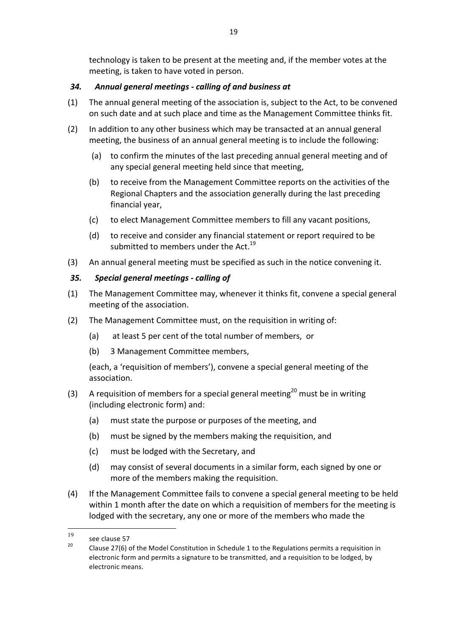technology is taken to be present at the meeting and, if the member votes at the meeting, is taken to have voted in person.

# *34. Annual general meetings - calling of and business at*

- $(1)$  The annual general meeting of the association is, subject to the Act, to be convened on such date and at such place and time as the Management Committee thinks fit.
- (2) In addition to any other business which may be transacted at an annual general meeting, the business of an annual general meeting is to include the following:
	- (a) to confirm the minutes of the last preceding annual general meeting and of any special general meeting held since that meeting,
	- (b) to receive from the Management Committee reports on the activities of the Regional Chapters and the association generally during the last preceding financial year,
	- (c) to elect Management Committee members to fill any vacant positions,
	- (d) to receive and consider any financial statement or report required to be submitted to members under the Act. $^{19}$
- (3) An annual general meeting must be specified as such in the notice convening it.

# *35. Special general meetings - calling of*

- (1) The Management Committee may, whenever it thinks fit, convene a special general meeting of the association.
- (2) The Management Committee must, on the requisition in writing of:
	- (a) at least 5 per cent of the total number of members, or
	- (b) 3 Management Committee members,

(each, a 'requisition of members'), convene a special general meeting of the association.

- (3) A requisition of members for a special general meeting<sup>20</sup> must be in writing (including electronic form) and:
	- (a) must state the purpose or purposes of the meeting, and
	- (b) must be signed by the members making the requisition, and
	- (c) must be lodged with the Secretary, and
	- (d) may consist of several documents in a similar form, each signed by one or more of the members making the requisition.
- (4) If the Management Committee fails to convene a special general meeting to be held within 1 month after the date on which a requisition of members for the meeting is lodged with the secretary, any one or more of the members who made the

 <sup>19</sup>

see clause 57<br>20 Clause 27(6) of the Model Constitution in Schedule 1 to the Regulations permits a requisition in electronic form and permits a signature to be transmitted, and a requisition to be lodged, by electronic means.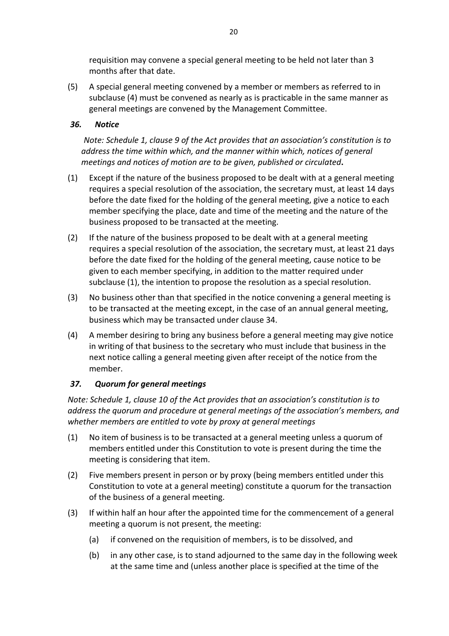requisition may convene a special general meeting to be held not later than 3 months after that date.

(5) A special general meeting convened by a member or members as referred to in subclause (4) must be convened as nearly as is practicable in the same manner as general meetings are convened by the Management Committee.

## *36. Notice*

*Note: Schedule 1, clause 9 of the Act provides that an association's constitution is to address* the time within which, and the manner within which, notices of general *meetings and notices of motion are to be given, published or circulated.* 

- $(1)$  Except if the nature of the business proposed to be dealt with at a general meeting requires a special resolution of the association, the secretary must, at least 14 days before the date fixed for the holding of the general meeting, give a notice to each member specifying the place, date and time of the meeting and the nature of the business proposed to be transacted at the meeting.
- (2) If the nature of the business proposed to be dealt with at a general meeting requires a special resolution of the association, the secretary must, at least 21 days before the date fixed for the holding of the general meeting, cause notice to be given to each member specifying, in addition to the matter required under subclause  $(1)$ , the intention to propose the resolution as a special resolution.
- (3) No business other than that specified in the notice convening a general meeting is to be transacted at the meeting except, in the case of an annual general meeting, business which may be transacted under clause 34.
- (4) A member desiring to bring any business before a general meeting may give notice in writing of that business to the secretary who must include that business in the next notice calling a general meeting given after receipt of the notice from the member.

## 37. Quorum for general meetings

*Note: Schedule 1, clause 10 of the Act provides that an association's constitution is to address the auorum and procedure at aeneral meetings of the association's members, and* whether members are entitled to vote by proxy at general meetings

- (1) No item of business is to be transacted at a general meeting unless a quorum of members entitled under this Constitution to vote is present during the time the meeting is considering that item.
- (2) Five members present in person or by proxy (being members entitled under this Constitution to vote at a general meeting) constitute a quorum for the transaction of the business of a general meeting.
- (3) If within half an hour after the appointed time for the commencement of a general meeting a quorum is not present, the meeting:
	- (a) if convened on the requisition of members, is to be dissolved, and
	- (b) in any other case, is to stand adjourned to the same day in the following week at the same time and (unless another place is specified at the time of the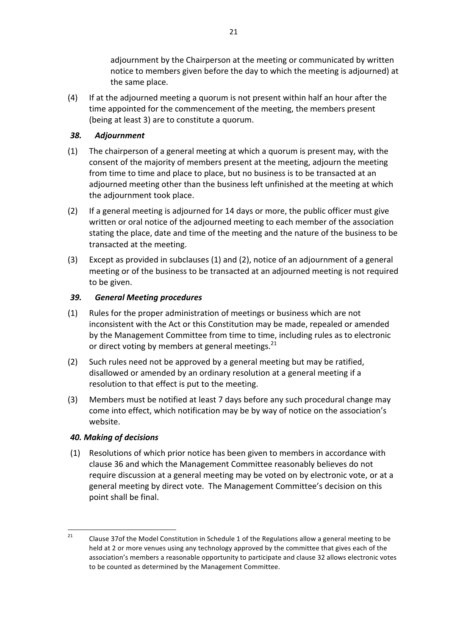adjournment by the Chairperson at the meeting or communicated by written notice to members given before the day to which the meeting is adjourned) at the same place.

(4) If at the adjourned meeting a quorum is not present within half an hour after the time appointed for the commencement of the meeting, the members present (being at least 3) are to constitute a quorum.

## *38. Adjournment*

- (1) The chairperson of a general meeting at which a quorum is present may, with the consent of the majority of members present at the meeting, adjourn the meeting from time to time and place to place, but no business is to be transacted at an adjourned meeting other than the business left unfinished at the meeting at which the adjournment took place.
- (2) If a general meeting is adjourned for 14 days or more, the public officer must give written or oral notice of the adjourned meeting to each member of the association stating the place, date and time of the meeting and the nature of the business to be transacted at the meeting.
- $(3)$  Except as provided in subclauses  $(1)$  and  $(2)$ , notice of an adjournment of a general meeting or of the business to be transacted at an adjourned meeting is not required to be given.

#### *39. General Meeting procedures*

- (1) Rules for the proper administration of meetings or business which are not inconsistent with the Act or this Constitution may be made, repealed or amended by the Management Committee from time to time, including rules as to electronic or direct voting by members at general meetings.<sup>21</sup>
- (2) Such rules need not be approved by a general meeting but may be ratified, disallowed or amended by an ordinary resolution at a general meeting if a resolution to that effect is put to the meeting.
- (3) Members must be notified at least 7 days before any such procedural change may come into effect, which notification may be by way of notice on the association's website.

#### *40. Making of decisions*

(1) Resolutions of which prior notice has been given to members in accordance with clause 36 and which the Management Committee reasonably believes do not require discussion at a general meeting may be voted on by electronic vote, or at a general meeting by direct vote. The Management Committee's decision on this point shall be final.

<sup>&</sup>lt;sup>21</sup> Clause 37of the Model Constitution in Schedule 1 of the Regulations allow a general meeting to be held at 2 or more venues using any technology approved by the committee that gives each of the association's members a reasonable opportunity to participate and clause 32 allows electronic votes to be counted as determined by the Management Committee.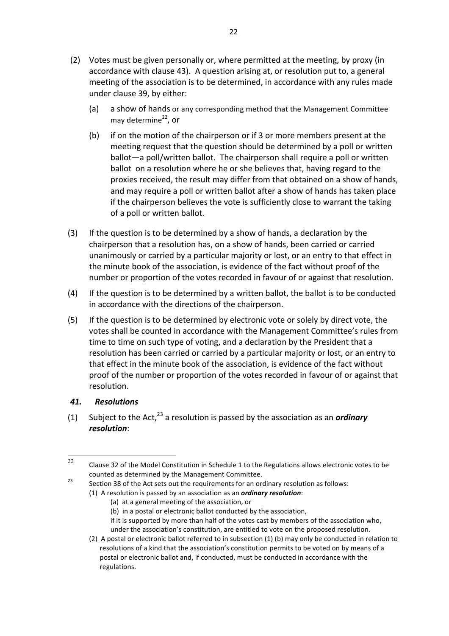- (2) Votes must be given personally or, where permitted at the meeting, by proxy (in accordance with clause 43). A question arising at, or resolution put to, a general meeting of the association is to be determined, in accordance with any rules made under clause 39, by either:
	- (a) a show of hands or any corresponding method that the Management Committee may determine<sup>22</sup>, or
	- (b) if on the motion of the chairperson or if 3 or more members present at the meeting request that the question should be determined by a poll or written ballot-a poll/written ballot. The chairperson shall require a poll or written ballot on a resolution where he or she believes that, having regard to the proxies received, the result may differ from that obtained on a show of hands, and may require a poll or written ballot after a show of hands has taken place if the chairperson believes the vote is sufficiently close to warrant the taking of a poll or written ballot.
- $(3)$  If the question is to be determined by a show of hands, a declaration by the chairperson that a resolution has, on a show of hands, been carried or carried unanimously or carried by a particular majority or lost, or an entry to that effect in the minute book of the association, is evidence of the fact without proof of the number or proportion of the votes recorded in favour of or against that resolution.
- (4) If the question is to be determined by a written ballot, the ballot is to be conducted in accordance with the directions of the chairperson.
- (5) If the question is to be determined by electronic vote or solely by direct vote, the votes shall be counted in accordance with the Management Committee's rules from time to time on such type of voting, and a declaration by the President that a resolution has been carried or carried by a particular majority or lost, or an entry to that effect in the minute book of the association, is evidence of the fact without proof of the number or proportion of the votes recorded in favour of or against that resolution.

## *41. Resolutions*

(1) Subject to the Act,<sup>23</sup> a resolution is passed by the association as an **ordinary** *resolution*:

- (b) in a postal or electronic ballot conducted by the association,
- if it is supported by more than half of the votes cast by members of the association who, under the association's constitution, are entitled to vote on the proposed resolution.

<sup>&</sup>lt;sup>22</sup> Clause 32 of the Model Constitution in Schedule 1 to the Regulations allows electronic votes to be counted as determined by the Management Committee.<br>
Section 38 of the Act sets out the requirements for an ordinary resolution as follows:

<sup>(1)</sup> A resolution is passed by an association as an *ordinary resolution*:

<sup>(</sup>a) at a general meeting of the association, or

<sup>(2)</sup> A postal or electronic ballot referred to in subsection (1) (b) may only be conducted in relation to resolutions of a kind that the association's constitution permits to be voted on by means of a postal or electronic ballot and, if conducted, must be conducted in accordance with the regulations.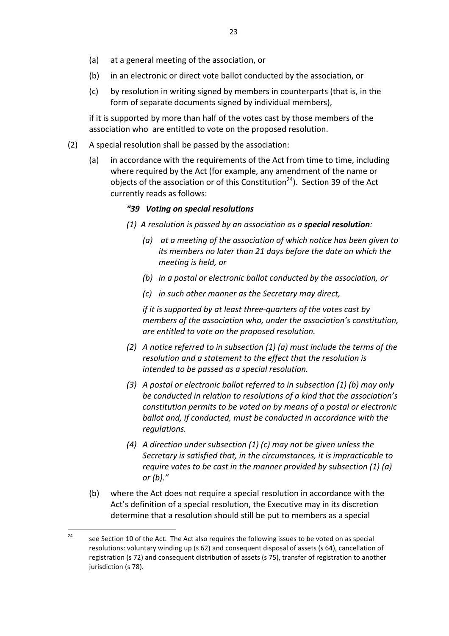- (a) at a general meeting of the association, or
- (b) in an electronic or direct vote ballot conducted by the association, or
- (c) by resolution in writing signed by members in counterparts (that is, in the form of separate documents signed by individual members),

if it is supported by more than half of the votes cast by those members of the association who are entitled to vote on the proposed resolution.

- (2) A special resolution shall be passed by the association:
	- (a) in accordance with the requirements of the Act from time to time, including where required by the Act (for example, any amendment of the name or objects of the association or of this Constitution<sup>24</sup>). Section 39 of the Act currently reads as follows:

#### *"39 Voting on special resolutions*

- *(1) A resolution is passed by an association as a special resolution:*
	- *(a)* at a meeting of the association of which notice has been given to *its* members no later than 21 days before the date on which the *meeting is held, or*
	- *(b) in a postal or electronic ballot conducted by the association, or*
	- *(c) in such other manner as the Secretary may direct,*

*if* it is supported by at least three-quarters of the votes cast by *members of the association who, under the association's constitution, are entitled to vote on the proposed resolution.* 

- *(2)* A notice referred to in subsection (1) (a) must include the terms of the resolution and a statement to the effect that the resolution is *intended to be passed as a special resolution.*
- *(3) A postal or electronic ballot referred to in subsection (1) (b) may only be conducted in relation to resolutions of a kind that the association's constitution permits to be voted on by means of a postal or electronic ballot and, if conducted, must be conducted in accordance with the regulations.*
- *(4)* A direction under subsection (1) (c) may not be given unless the *Secretary* is satisfied that, in the circumstances, it is impracticable to *require* votes to be cast in the manner provided by subsection (1) (a) *or (b)."*
- (b) where the Act does not require a special resolution in accordance with the Act's definition of a special resolution, the Executive may in its discretion determine that a resolution should still be put to members as a special

<sup>&</sup>lt;sup>24</sup> see Section 10 of the Act. The Act also requires the following issues to be voted on as special resolutions: voluntary winding up (s 62) and consequent disposal of assets (s 64), cancellation of registration (s 72) and consequent distribution of assets (s 75), transfer of registration to another jurisdiction (s 78).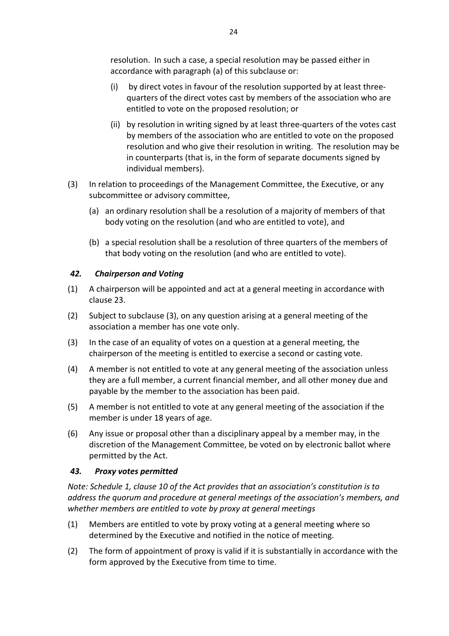resolution. In such a case, a special resolution may be passed either in accordance with paragraph (a) of this subclause or:

- (i) by direct votes in favour of the resolution supported by at least threequarters of the direct votes cast by members of the association who are entitled to vote on the proposed resolution; or
- (ii) by resolution in writing signed by at least three-quarters of the votes cast by members of the association who are entitled to vote on the proposed resolution and who give their resolution in writing. The resolution may be in counterparts (that is, in the form of separate documents signed by individual members).
- (3) In relation to proceedings of the Management Committee, the Executive, or any subcommittee or advisory committee,
	- (a) an ordinary resolution shall be a resolution of a majority of members of that body voting on the resolution (and who are entitled to vote), and
	- (b) a special resolution shall be a resolution of three quarters of the members of that body voting on the resolution (and who are entitled to vote).

## *42. Chairperson and Voting*

- (1) A chairperson will be appointed and act at a general meeting in accordance with clause 23.
- (2) Subject to subclause (3), on any question arising at a general meeting of the association a member has one vote only.
- (3) In the case of an equality of votes on a question at a general meeting, the chairperson of the meeting is entitled to exercise a second or casting vote.
- (4) A member is not entitled to vote at any general meeting of the association unless they are a full member, a current financial member, and all other money due and payable by the member to the association has been paid.
- (5) A member is not entitled to vote at any general meeting of the association if the member is under 18 years of age.
- (6) Any issue or proposal other than a disciplinary appeal by a member may, in the discretion of the Management Committee, be voted on by electronic ballot where permitted by the Act.

## *43. Proxy votes permitted*

*Note: Schedule 1, clause 10 of the Act provides that an association's constitution is to address* the quorum and procedure at general meetings of the association's members, and whether members are entitled to vote by proxy at general meetings

- (1) Members are entitled to vote by proxy voting at a general meeting where so determined by the Executive and notified in the notice of meeting.
- (2) The form of appointment of proxy is valid if it is substantially in accordance with the form approved by the Executive from time to time.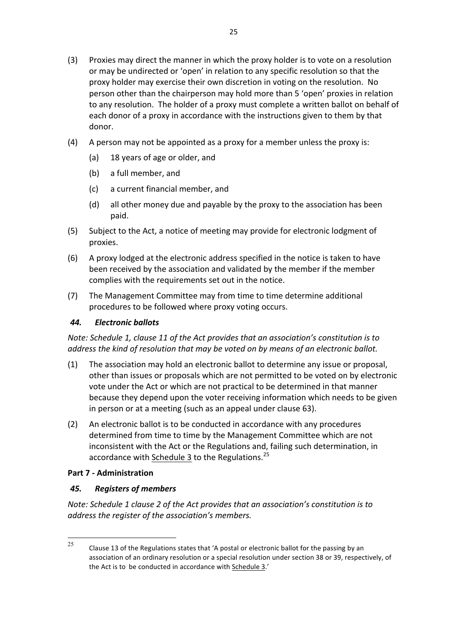- (3) Proxies may direct the manner in which the proxy holder is to vote on a resolution or may be undirected or 'open' in relation to any specific resolution so that the proxy holder may exercise their own discretion in voting on the resolution. No person other than the chairperson may hold more than 5 'open' proxies in relation to any resolution. The holder of a proxy must complete a written ballot on behalf of each donor of a proxy in accordance with the instructions given to them by that donor.
- (4) A person may not be appointed as a proxy for a member unless the proxy is:
	- (a) 18 years of age or older, and
	- (b) a full member, and
	- (c) a current financial member, and
	- (d) all other money due and payable by the proxy to the association has been paid.
- (5) Subject to the Act, a notice of meeting may provide for electronic lodgment of proxies.
- (6) A proxy lodged at the electronic address specified in the notice is taken to have been received by the association and validated by the member if the member complies with the requirements set out in the notice.
- (7) The Management Committee may from time to time determine additional procedures to be followed where proxy voting occurs.

## *44. Electronic ballots*

*Note: Schedule 1, clause 11 of the Act provides that an association's constitution is to address the kind of resolution that may be voted on by means of an electronic ballot.*

- (1) The association may hold an electronic ballot to determine any issue or proposal, other than issues or proposals which are not permitted to be voted on by electronic vote under the Act or which are not practical to be determined in that manner because they depend upon the voter receiving information which needs to be given in person or at a meeting (such as an appeal under clause 63).
- (2) An electronic ballot is to be conducted in accordance with any procedures determined from time to time by the Management Committee which are not inconsistent with the Act or the Regulations and, failing such determination, in accordance with Schedule 3 to the Regulations.<sup>25</sup>

## **Part 7 - Administration**

# *45. Registers of members*

*Note:* Schedule 1 clause 2 of the Act provides that an association's constitution is to address the register of the association's members.

<sup>&</sup>lt;sup>25</sup> Clause 13 of the Regulations states that 'A postal or electronic ballot for the passing by an association of an ordinary resolution or a special resolution under section 38 or 39, respectively, of the Act is to be conducted in accordance with Schedule 3.'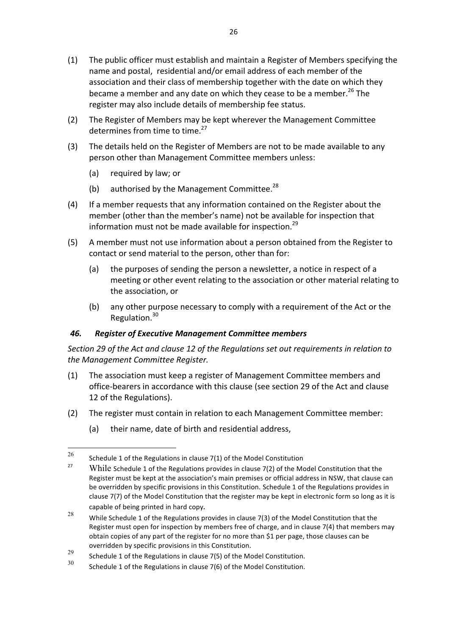- (1) The public officer must establish and maintain a Register of Members specifying the name and postal, residential and/or email address of each member of the association and their class of membership together with the date on which they became a member and any date on which they cease to be a member.<sup>26</sup> The register may also include details of membership fee status.
- (2) The Register of Members may be kept wherever the Management Committee determines from time to time.<sup>27</sup>
- (3) The details held on the Register of Members are not to be made available to any person other than Management Committee members unless:
	- (a) required by law; or
	- (b) authorised by the Management Committee.<sup>28</sup>
- (4) If a member requests that any information contained on the Register about the member (other than the member's name) not be available for inspection that information must not be made available for inspection.<sup>29</sup>
- (5) A member must not use information about a person obtained from the Register to contact or send material to the person, other than for:
	- (a) the purposes of sending the person a newsletter, a notice in respect of a meeting or other event relating to the association or other material relating to the association, or
	- (b) any other purpose necessary to comply with a requirement of the Act or the Regulation.<sup>30</sup>

## *46. Register of Executive Management Committee members*

Section 29 of the Act and clause 12 of the Regulations set out requirements in relation to *the Management Committee Register.*

- (1) The association must keep a register of Management Committee members and office-bearers in accordance with this clause (see section 29 of the Act and clause 12 of the Regulations).
- (2) The register must contain in relation to each Management Committee member:
	- (a) their name, date of birth and residential address,

<sup>&</sup>lt;sup>26</sup> Schedule 1 of the Regulations in clause  $7(1)$  of the Model Constitution

While Schedule 1 of the Regulations provides in clause 7(2) of the Model Constitution that the Register must be kept at the association's main premises or official address in NSW, that clause can be overridden by specific provisions in this Constitution. Schedule 1 of the Regulations provides in clause 7(7) of the Model Constitution that the register may be kept in electronic form so long as it is

capable of being printed in hard copy.<br><sup>28</sup> While Schedule 1 of the Regulations provides in clause 7(3) of the Model Constitution that the Register must open for inspection by members free of charge, and in clause 7(4) that members may obtain copies of any part of the register for no more than \$1 per page, those clauses can be

overridden by specific provisions in this Constitution.<br>
29 Schedule 1 of the Regulations in clause 7(5) of the Model Constitution.<br>
30 Schedule 1 of the Regulations in clause 7(6) of the Model Constitution.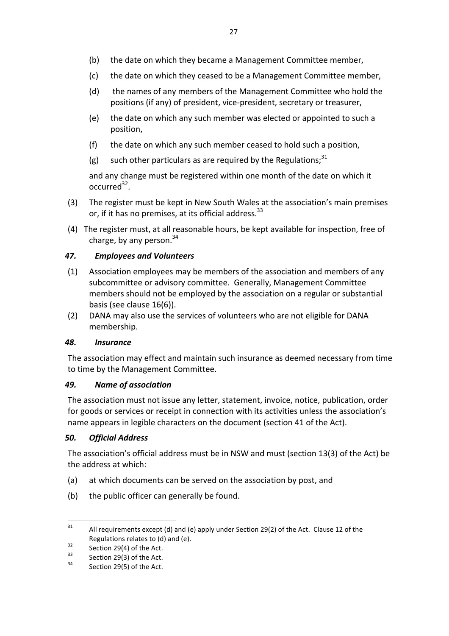- (b) the date on which they became a Management Committee member,
- (c) the date on which they ceased to be a Management Committee member,
- (d) the names of any members of the Management Committee who hold the positions (if any) of president, vice-president, secretary or treasurer,
- (e) the date on which any such member was elected or appointed to such a position,
- (f) the date on which any such member ceased to hold such a position,
- (g) such other particulars as are required by the Regulations;<sup>31</sup>

and any change must be registered within one month of the date on which it  $occurred<sup>32</sup>$ .

- (3) The register must be kept in New South Wales at the association's main premises or, if it has no premises, at its official address.<sup>33</sup>
- (4) The register must, at all reasonable hours, be kept available for inspection, free of charge, by any person. $34$

#### *47. Employees and Volunteers*

- (1) Association employees may be members of the association and members of any subcommittee or advisory committee. Generally, Management Committee members should not be employed by the association on a regular or substantial basis (see clause 16(6)).
- (2) DANA may also use the services of volunteers who are not eligible for DANA membership.

#### *48. Insurance*

The association may effect and maintain such insurance as deemed necessary from time to time by the Management Committee.

#### *49. Name of association*

The association must not issue any letter, statement, invoice, notice, publication, order for goods or services or receipt in connection with its activities unless the association's name appears in legible characters on the document (section 41 of the Act).

#### *50. Official Address*

The association's official address must be in NSW and must (section 13(3) of the Act) be the address at which:

- (a) at which documents can be served on the association by post, and
- (b) the public officer can generally be found.

<sup>&</sup>lt;sup>31</sup> All requirements except (d) and (e) apply under Section 29(2) of the Act. Clause 12 of the Regulations relates to (d) and (e).<br>
Section 29(4) of the Act.<br>
34 Section 29(5) of the Act.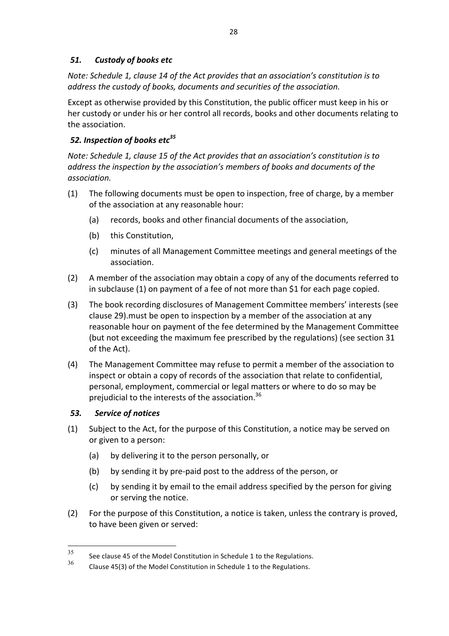# *51. Custody of books etc*

*Note: Schedule 1, clause 14 of the Act provides that an association's constitution is to* address the custody of books, documents and securities of the association.

Except as otherwise provided by this Constitution, the public officer must keep in his or her custody or under his or her control all records, books and other documents relating to the association.

# 52. Inspection of books etc<sup>35</sup>

*Note: Schedule 1, clause 15 of the Act provides that an association's constitution is to address* the inspection by the association's members of books and documents of the *association.*

- (1) The following documents must be open to inspection, free of charge, by a member of the association at any reasonable hour:
	- (a) records, books and other financial documents of the association,
	- (b) this Constitution,
	- (c) minutes of all Management Committee meetings and general meetings of the association.
- (2) A member of the association may obtain a copy of any of the documents referred to in subclause (1) on payment of a fee of not more than \$1 for each page copied.
- (3) The book recording disclosures of Management Committee members' interests (see clause 29). must be open to inspection by a member of the association at any reasonable hour on payment of the fee determined by the Management Committee (but not exceeding the maximum fee prescribed by the regulations) (see section 31 of the Act).
- (4) The Management Committee may refuse to permit a member of the association to inspect or obtain a copy of records of the association that relate to confidential, personal, employment, commercial or legal matters or where to do so may be prejudicial to the interests of the association. $36$

# *53. Service of notices*

- (1) Subject to the Act, for the purpose of this Constitution, a notice may be served on or given to a person:
	- (a) by delivering it to the person personally, or
	- (b) by sending it by pre-paid post to the address of the person, or
	- (c) by sending it by email to the email address specified by the person for giving or serving the notice.
- (2) For the purpose of this Constitution, a notice is taken, unless the contrary is proved, to have been given or served:

 $35$  See clause 45 of the Model Constitution in Schedule 1 to the Regulations.

Clause 45(3) of the Model Constitution in Schedule 1 to the Regulations.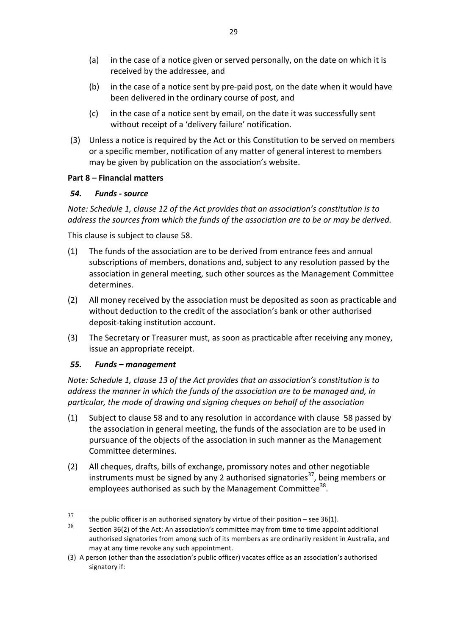- (a) in the case of a notice given or served personally, on the date on which it is received by the addressee, and
- (b) in the case of a notice sent by pre-paid post, on the date when it would have been delivered in the ordinary course of post, and
- (c) in the case of a notice sent by email, on the date it was successfully sent without receipt of a 'delivery failure' notification.
- (3) Unless a notice is required by the Act or this Constitution to be served on members or a specific member, notification of any matter of general interest to members may be given by publication on the association's website.

#### **Part 8 – Financial matters**

#### *54. Funds - source*

*Note: Schedule 1, clause 12 of the Act provides that an association's constitution is to address* the sources from which the funds of the association are to be or may be derived.

This clause is subject to clause 58.

- (1) The funds of the association are to be derived from entrance fees and annual subscriptions of members, donations and, subject to any resolution passed by the association in general meeting, such other sources as the Management Committee determines.
- (2) All money received by the association must be deposited as soon as practicable and without deduction to the credit of the association's bank or other authorised deposit-taking institution account.
- (3) The Secretary or Treasurer must, as soon as practicable after receiving any money, issue an appropriate receipt.

## *55. Funds – management*

*Note: Schedule 1, clause 13 of the Act provides that an association's constitution is to address* the manner in which the funds of the association are to be managed and, in particular, the mode of drawing and signing cheques on behalf of the association

- (1) Subject to clause 58 and to any resolution in accordance with clause 58 passed by the association in general meeting, the funds of the association are to be used in pursuance of the objects of the association in such manner as the Management Committee determines.
- (2) All cheques, drafts, bills of exchange, promissory notes and other negotiable instruments must be signed by any 2 authorised signatories<sup>37</sup>, being members or employees authorised as such by the Management Committee<sup>38</sup>.

<sup>&</sup>lt;sup>37</sup> the public officer is an authorised signatory by virtue of their position – see 36(1).<br><sup>38</sup>

Section 36(2) of the Act: An association's committee may from time to time appoint additional authorised signatories from among such of its members as are ordinarily resident in Australia, and may at any time revoke any such appointment.

<sup>(3)</sup> A person (other than the association's public officer) vacates office as an association's authorised signatory if: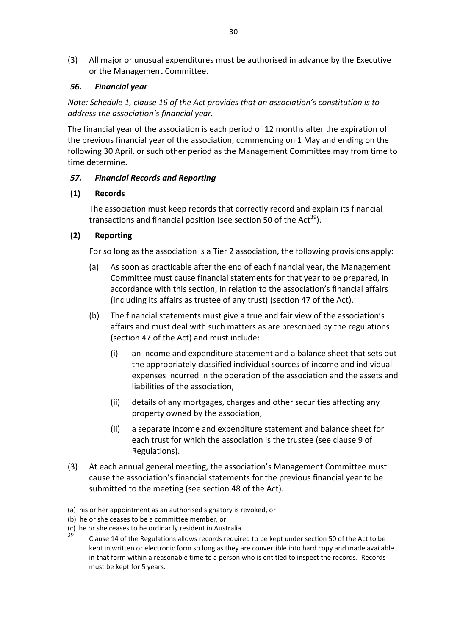(3) All major or unusual expenditures must be authorised in advance by the Executive or the Management Committee.

## *56. Financial year*

*Note: Schedule 1, clause 16 of the Act provides that an association's constitution is to address the association's financial year.*

The financial year of the association is each period of 12 months after the expiration of the previous financial year of the association, commencing on 1 May and ending on the following 30 April, or such other period as the Management Committee may from time to time determine.

## *57. Financial Records and Reporting*

## **(1) Records**

The association must keep records that correctly record and explain its financial transactions and financial position (see section 50 of the Act<sup>39</sup>).

## **(2) Reporting**

For so long as the association is a Tier 2 association, the following provisions apply:

- (a) As soon as practicable after the end of each financial year, the Management Committee must cause financial statements for that year to be prepared, in accordance with this section, in relation to the association's financial affairs (including its affairs as trustee of any trust) (section 47 of the Act).
- (b) The financial statements must give a true and fair view of the association's affairs and must deal with such matters as are prescribed by the regulations (section 47 of the Act) and must include:
	- (i) an income and expenditure statement and a balance sheet that sets out the appropriately classified individual sources of income and individual expenses incurred in the operation of the association and the assets and liabilities of the association,
	- (ii) details of any mortgages, charges and other securities affecting any property owned by the association,
	- (ii) a separate income and expenditure statement and balance sheet for each trust for which the association is the trustee (see clause 9 of Regulations).
- (3) At each annual general meeting, the association's Management Committee must cause the association's financial statements for the previous financial year to be submitted to the meeting (see section 48 of the Act).

 $\overline{a}$ 

<sup>(</sup>a) his or her appointment as an authorised signatory is revoked, or

<sup>(</sup>b) he or she ceases to be a committee member, or

<sup>(</sup>c) he or she ceases to be ordinarily resident in Australia.<br> $39 - 21$ 

Clause 14 of the Regulations allows records required to be kept under section 50 of the Act to be kept in written or electronic form so long as they are convertible into hard copy and made available in that form within a reasonable time to a person who is entitled to inspect the records. Records must be kept for 5 years.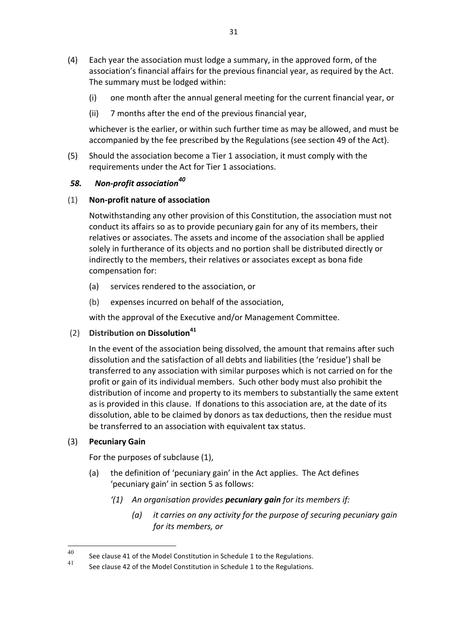- (4) Each year the association must lodge a summary, in the approved form, of the association's financial affairs for the previous financial year, as required by the Act. The summary must be lodged within:
	- (i) one month after the annual general meeting for the current financial year, or
	- (ii) 7 months after the end of the previous financial year,

whichever is the earlier, or within such further time as may be allowed, and must be accompanied by the fee prescribed by the Regulations (see section 49 of the Act).

(5) Should the association become a Tier 1 association, it must comply with the requirements under the Act for Tier 1 associations.

## 58. Non-profit association<sup>40</sup>

## (1) **Non-profit nature of association**

Notwithstanding any other provision of this Constitution, the association must not conduct its affairs so as to provide pecuniary gain for any of its members, their relatives or associates. The assets and income of the association shall be applied solely in furtherance of its objects and no portion shall be distributed directly or indirectly to the members, their relatives or associates except as bona fide compensation for:

- (a) services rendered to the association, or
- (b) expenses incurred on behalf of the association.

with the approval of the Executive and/or Management Committee.

(2) **Distribution on Dissolution<sup>41</sup>**

In the event of the association being dissolved, the amount that remains after such dissolution and the satisfaction of all debts and liabilities (the 'residue') shall be transferred to any association with similar purposes which is not carried on for the profit or gain of its individual members. Such other body must also prohibit the distribution of income and property to its members to substantially the same extent as is provided in this clause. If donations to this association are, at the date of its dissolution, able to be claimed by donors as tax deductions, then the residue must be transferred to an association with equivalent tax status.

# (3) **Pecuniary Gain**

For the purposes of subclause (1),

- (a) the definition of 'pecuniary gain' in the Act applies. The Act defines 'pecuniary gain' in section 5 as follows:
	- *'(1)* An organisation provides **pecuniary gain** for its members if:
		- *(a) it carries on any activity for the purpose of securing pecuniary gain for its members, or*

<sup>40</sup> See clause 41 of the Model Constitution in Schedule 1 to the Regulations.

See clause 42 of the Model Constitution in Schedule 1 to the Regulations.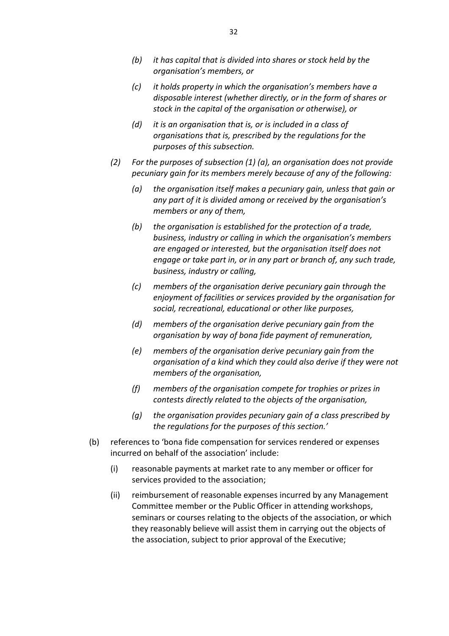- *(b)* it has capital that is divided into shares or stock held by the *organisation's members, or*
- *(c) it holds property in which the organisation's members have a*  disposable interest (whether directly, or in the form of shares or *stock in the capital of the organisation or otherwise), or*
- *(d)* it is an organisation that is, or is included in a class of organisations that is, prescribed by the regulations for the *purposes of this subsection.*
- (2) For the purposes of subsection (1) (a), an organisation does not provide *pecuniary gain for its members merely because of any of the following:* 
	- *(a) the organisation itself makes a pecuniary gain, unless that gain or*  any part of it is divided among or received by the organisation's *members* or any of them,
	- *(b)* the organisation is established for the protection of a trade, business, industry or calling in which the organisation's members are engaged or interested, but the organisation itself does not *engage* or take part in, or in any part or branch of, any such trade, *business, industry or calling,*
	- *(c) members of the organisation derive pecuniary gain through the*  enjoyment of facilities or services provided by the organisation for *social, recreational, educational or other like purposes,*
	- (d) members of the organisation derive pecuniary gain from the *organisation by way of bona fide payment of remuneration,*
	- *(e) members of the organisation derive pecuniary gain from the organisation of a kind which they could also derive if they were not members of the organisation,*
	- *(f) members of the organisation compete for trophies or prizes in contests directly related to the objects of the organisation,*
	- (g) the organisation provides pecuniary gain of a class prescribed by the regulations for the purposes of this section.'
- (b) references to 'bona fide compensation for services rendered or expenses incurred on behalf of the association' include:
	- (i) reasonable payments at market rate to any member or officer for services provided to the association;
	- (ii) reimbursement of reasonable expenses incurred by any Management Committee member or the Public Officer in attending workshops, seminars or courses relating to the objects of the association, or which they reasonably believe will assist them in carrying out the objects of the association, subject to prior approval of the Executive;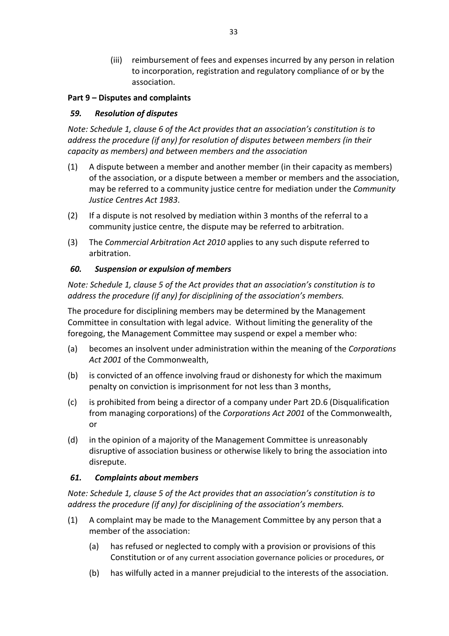(iii) reimbursement of fees and expenses incurred by any person in relation to incorporation, registration and regulatory compliance of or by the association.

## **Part 9 – Disputes and complaints**

## *59. Resolution of disputes*

*Note: Schedule 1, clause 6 of the Act provides that an association's constitution is to* address the procedure (if any) for resolution of disputes between members (in their *capacity as members) and between members and the association*

- $(1)$  A dispute between a member and another member (in their capacity as members) of the association, or a dispute between a member or members and the association, may be referred to a community justice centre for mediation under the *Community Justice Centres Act 1983*.
- (2) If a dispute is not resolved by mediation within 3 months of the referral to a community justice centre, the dispute may be referred to arbitration.
- (3) The *Commercial Arbitration Act 2010* applies to any such dispute referred to arbitration.

## *60. Suspension or expulsion of members*

*Note: Schedule 1, clause 5 of the Act provides that an association's constitution is to address the procedure (if any) for disciplining of the association's members.* 

The procedure for disciplining members may be determined by the Management Committee in consultation with legal advice. Without limiting the generality of the foregoing, the Management Committee may suspend or expel a member who:

- (a) becomes an insolvent under administration within the meaning of the *Corporations* Act 2001 of the Commonwealth.
- (b) is convicted of an offence involving fraud or dishonesty for which the maximum penalty on conviction is imprisonment for not less than 3 months,
- (c) is prohibited from being a director of a company under Part 2D.6 (Disqualification from managing corporations) of the *Corporations Act 2001* of the Commonwealth, or
- (d) in the opinion of a majority of the Management Committee is unreasonably disruptive of association business or otherwise likely to bring the association into disrepute.

# *61. Complaints about members*

*Note: Schedule 1, clause 5 of the Act provides that an association's constitution is to address the procedure (if any)* for disciplining of the association's members.

- (1) A complaint may be made to the Management Committee by any person that a member of the association:
	- (a) has refused or neglected to comply with a provision or provisions of this Constitution or of any current association governance policies or procedures, or
	- (b) has wilfully acted in a manner prejudicial to the interests of the association.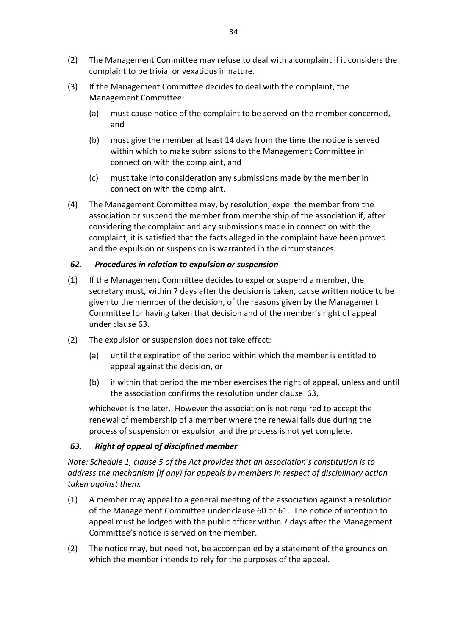- (2) The Management Committee may refuse to deal with a complaint if it considers the complaint to be trivial or vexatious in nature.
- (3) If the Management Committee decides to deal with the complaint, the Management Committee:
	- (a) must cause notice of the complaint to be served on the member concerned, and
	- (b) must give the member at least 14 days from the time the notice is served within which to make submissions to the Management Committee in connection with the complaint, and
	- (c) must take into consideration any submissions made by the member in connection with the complaint.
- (4) The Management Committee may, by resolution, expel the member from the association or suspend the member from membership of the association if, after considering the complaint and any submissions made in connection with the complaint, it is satisfied that the facts alleged in the complaint have been proved and the expulsion or suspension is warranted in the circumstances.

#### *62. Procedures in relation to expulsion or suspension*

- (1) If the Management Committee decides to expel or suspend a member, the secretary must, within 7 days after the decision is taken, cause written notice to be given to the member of the decision, of the reasons given by the Management Committee for having taken that decision and of the member's right of appeal under clause 63.
- $(2)$  The expulsion or suspension does not take effect:
	- (a) until the expiration of the period within which the member is entitled to appeal against the decision, or
	- (b) if within that period the member exercises the right of appeal, unless and until the association confirms the resolution under clause 63.

whichever is the later. However the association is not required to accept the renewal of membership of a member where the renewal falls due during the process of suspension or expulsion and the process is not yet complete.

## *63. Right of appeal of disciplined member*

*Note: Schedule 1, clause 5 of the Act provides that an association's constitution is to address* the mechanism (if any) for appeals by members in respect of disciplinary action *taken against them.*

- $(1)$  A member may appeal to a general meeting of the association against a resolution of the Management Committee under clause 60 or 61. The notice of intention to appeal must be lodged with the public officer within 7 days after the Management Committee's notice is served on the member.
- (2) The notice may, but need not, be accompanied by a statement of the grounds on which the member intends to rely for the purposes of the appeal.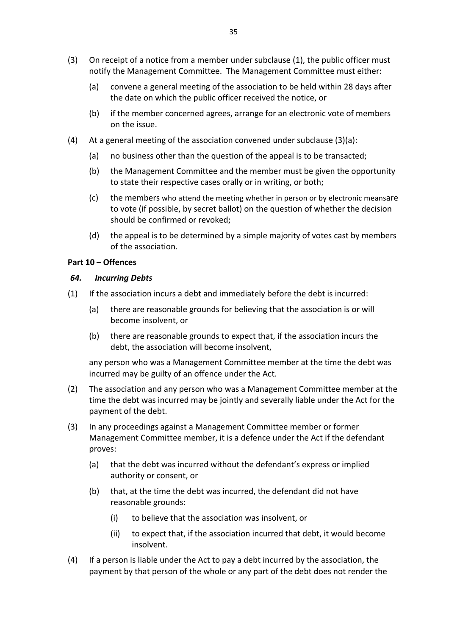- (3) On receipt of a notice from a member under subclause  $(1)$ , the public officer must notify the Management Committee. The Management Committee must either:
	- (a) convene a general meeting of the association to be held within 28 days after the date on which the public officer received the notice, or
	- (b) if the member concerned agrees, arrange for an electronic vote of members on the issue.
- (4) At a general meeting of the association convened under subclause  $(3)(a)$ :
	- (a) no business other than the question of the appeal is to be transacted;
	- (b) the Management Committee and the member must be given the opportunity to state their respective cases orally or in writing, or both;
	- (c) the members who attend the meeting whether in person or by electronic meansare to vote (if possible, by secret ballot) on the question of whether the decision should be confirmed or revoked;
	- (d) the appeal is to be determined by a simple majority of votes cast by members of the association.

#### **Part 10 – Offences**

#### *64. Incurring Debts*

- $(1)$  If the association incurs a debt and immediately before the debt is incurred:
	- (a) there are reasonable grounds for believing that the association is or will become insolvent, or
	- (b) there are reasonable grounds to expect that, if the association incurs the debt, the association will become insolvent,

any person who was a Management Committee member at the time the debt was incurred may be guilty of an offence under the Act.

- (2) The association and any person who was a Management Committee member at the time the debt was incurred may be jointly and severally liable under the Act for the payment of the debt.
- (3) In any proceedings against a Management Committee member or former Management Committee member, it is a defence under the Act if the defendant proves:
	- (a) that the debt was incurred without the defendant's express or implied authority or consent, or
	- (b) that, at the time the debt was incurred, the defendant did not have reasonable grounds:
		- (i) to believe that the association was insolvent, or
		- (ii) to expect that, if the association incurred that debt, it would become insolvent.
- (4) If a person is liable under the Act to pay a debt incurred by the association, the payment by that person of the whole or any part of the debt does not render the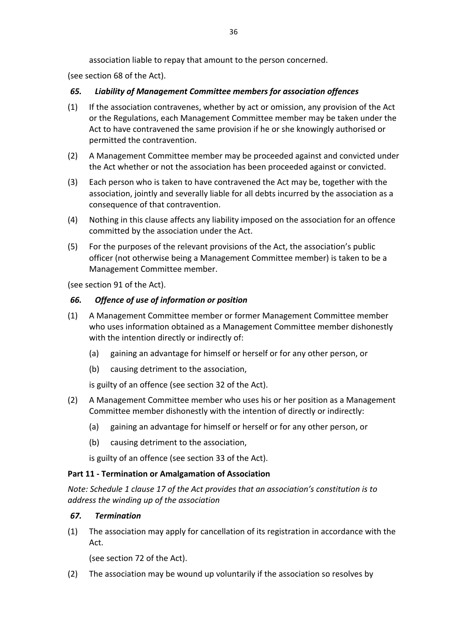association liable to repay that amount to the person concerned.

(see section 68 of the Act).

# *65. Liability of Management Committee members for association offences*

- (1) If the association contravenes, whether by act or omission, any provision of the Act or the Regulations, each Management Committee member may be taken under the Act to have contravened the same provision if he or she knowingly authorised or permitted the contravention.
- (2) A Management Committee member may be proceeded against and convicted under the Act whether or not the association has been proceeded against or convicted.
- (3) Each person who is taken to have contravened the Act may be, together with the association, jointly and severally liable for all debts incurred by the association as a consequence of that contravention.
- (4) Nothing in this clause affects any liability imposed on the association for an offence committed by the association under the Act.
- (5) For the purposes of the relevant provisions of the Act, the association's public officer (not otherwise being a Management Committee member) is taken to be a Management Committee member.

(see section 91 of the Act).

# *66. Offence of use of information or position*

- (1) A Management Committee member or former Management Committee member who uses information obtained as a Management Committee member dishonestly with the intention directly or indirectly of:
	- (a) gaining an advantage for himself or herself or for any other person, or
	- (b) causing detriment to the association,

is guilty of an offence (see section 32 of the Act).

- (2) A Management Committee member who uses his or her position as a Management Committee member dishonestly with the intention of directly or indirectly:
	- (a) gaining an advantage for himself or herself or for any other person, or
	- (b) causing detriment to the association.

is guilty of an offence (see section 33 of the Act).

# **Part 11 - Termination or Amalgamation of Association**

*Note: Schedule 1 clause 17 of the Act provides that an association's constitution is to address the winding up of the association*

# *67. Termination*

(1) The association may apply for cancellation of its registration in accordance with the Act.

(see section 72 of the Act).

(2) The association may be wound up voluntarily if the association so resolves by